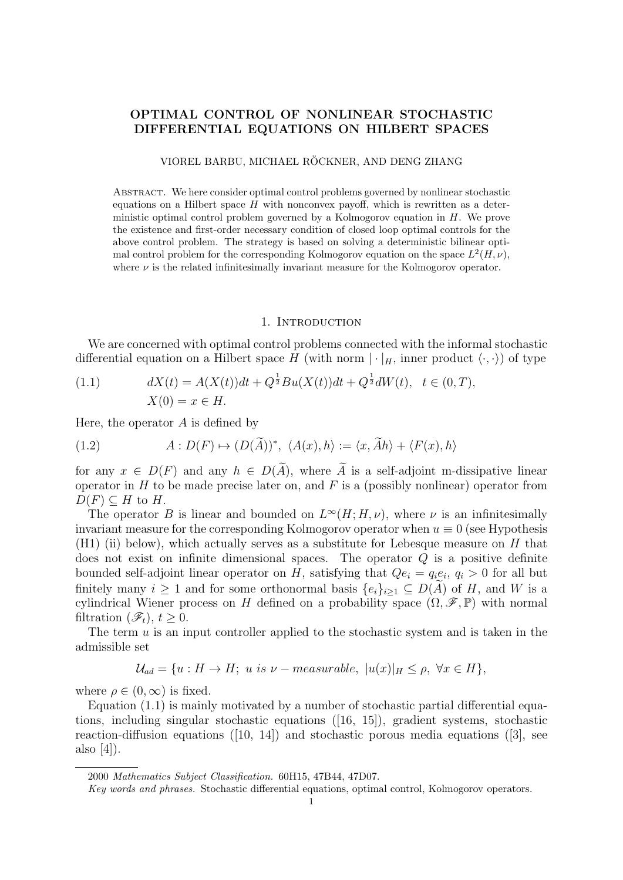# OPTIMAL CONTROL OF NONLINEAR STOCHASTIC DIFFERENTIAL EQUATIONS ON HILBERT SPACES

VIOREL BARBU, MICHAEL RÖCKNER, AND DENG ZHANG

Abstract. We here consider optimal control problems governed by nonlinear stochastic equations on a Hilbert space  $H$  with nonconvex payoff, which is rewritten as a deterministic optimal control problem governed by a Kolmogorov equation in H. We prove the existence and first-order necessary condition of closed loop optimal controls for the above control problem. The strategy is based on solving a deterministic bilinear optimal control problem for the corresponding Kolmogorov equation on the space  $L^2(H, \nu)$ , where  $\nu$  is the related infinitesimally invariant measure for the Kolmogorov operator.

#### 1. Introduction

We are concerned with optimal control problems connected with the informal stochastic differential equation on a Hilbert space H (with norm  $|\cdot|_H$ , inner product  $\langle \cdot, \cdot \rangle$ ) of type

(1.1) 
$$
dX(t) = A(X(t))dt + Q^{\frac{1}{2}}Bu(X(t))dt + Q^{\frac{1}{2}}dW(t), \quad t \in (0, T),
$$

$$
X(0) = x \in H.
$$

Here, the operator  $A$  is defined by

(1.2) 
$$
A: D(F) \mapsto (D(\widetilde{A}))^*, \ \langle A(x), h \rangle := \langle x, \widetilde{A}h \rangle + \langle F(x), h \rangle
$$

for any  $x \in D(F)$  and any  $h \in D(\widetilde{A})$ , where  $\widetilde{A}$  is a self-adjoint m-dissipative linear operator in  $H$  to be made precise later on, and  $F$  is a (possibly nonlinear) operator from  $D(F) \subseteq H$  to H.

The operator B is linear and bounded on  $L^{\infty}(H; H, \nu)$ , where  $\nu$  is an infinitesimally invariant measure for the corresponding Kolmogorov operator when  $u \equiv 0$  (see Hypothesis  $(H1)$  (ii) below), which actually serves as a substitute for Lebesque measure on H that does not exist on infinite dimensional spaces. The operator Q is a positive definite bounded self-adjoint linear operator on H, satisfying that  $Qe_i = q_i e_i, q_i > 0$  for all but finitely many  $i \geq 1$  and for some orthonormal basis  $\{e_i\}_{i\geq 1} \subseteq D(A)$  of H, and W is a cylindrical Wiener process on H defined on a probability space  $(\Omega, \mathscr{F}, \mathbb{P})$  with normal filtration  $(\mathscr{F}_t)$ ,  $t > 0$ .

The term  $u$  is an input controller applied to the stochastic system and is taken in the admissible set

$$
\mathcal{U}_{ad} = \{u : H \to H; \ u \ is \ \nu-measurable, \ |u(x)|_H \le \rho, \ \forall x \in H\},\
$$

where  $\rho \in (0,\infty)$  is fixed.

Equation (1.1) is mainly motivated by a number of stochastic partial differential equations, including singular stochastic equations ([16, 15]), gradient systems, stochastic reaction-diffusion equations ([10, 14]) and stochastic porous media equations ([3], see also [4]).

<sup>2000</sup> Mathematics Subject Classification. 60H15, 47B44, 47D07.

Key words and phrases. Stochastic differential equations, optimal control, Kolmogorov operators.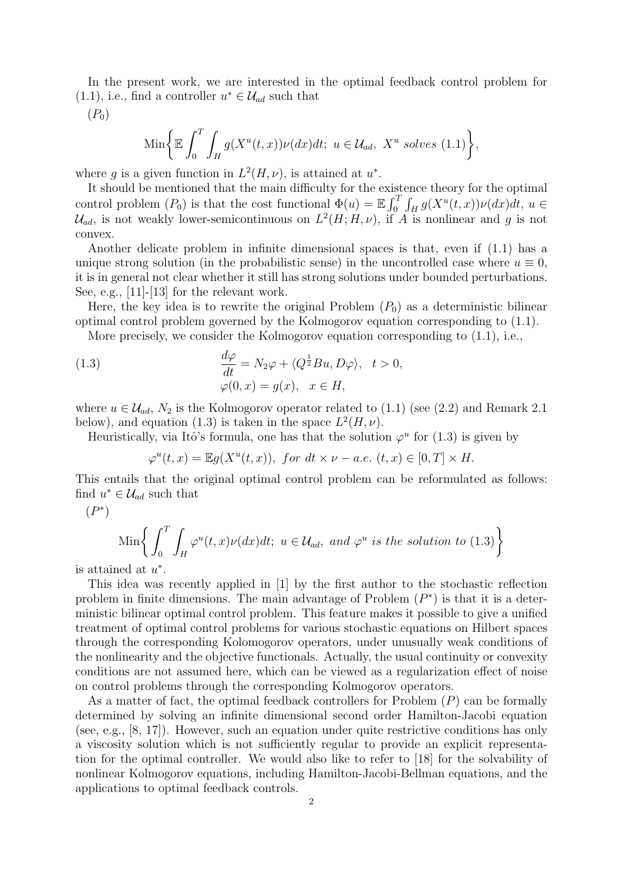In the present work, we are interested in the optimal feedback control problem for  $(1.1)$ , i.e., find a controller  $u^* \in \mathcal{U}_{ad}$  such that

 $(P_0)$ 

$$
\operatorname{Min}\bigg\{\mathbb{E}\int_0^T\int_H g(X^u(t,x))\nu(dx)dt;\ u\in\mathcal{U}_{ad},\ X^u\ \text{solves}\ (1.1)\bigg\},\
$$

where g is a given function in  $L^2(H, \nu)$ , is attained at  $u^*$ .

It should be mentioned that the main difficulty for the existence theory for the optimal control problem  $(P_0)$  is that the cost functional  $\Phi(u) = \mathbb{E} \int_0^T \int_H g(X^u(t,x)) \nu(dx) dt$ ,  $u \in$  $\mathcal{U}_{ad}$ , is not weakly lower-semicontinuous on  $L^2(H;H,\nu)$ , if A is nonlinear and g is not convex.

Another delicate problem in infinite dimensional spaces is that, even if (1.1) has a unique strong solution (in the probabilistic sense) in the uncontrolled case where  $u \equiv 0$ , it is in general not clear whether it still has strong solutions under bounded perturbations. See, e.g., [11]-[13] for the relevant work.

Here, the key idea is to rewrite the original Problem  $(P_0)$  as a deterministic bilinear optimal control problem governed by the Kolmogorov equation corresponding to (1.1).

More precisely, we consider the Kolmogorov equation corresponding to (1.1), i.e.,

(1.3) 
$$
\frac{d\varphi}{dt} = N_2 \varphi + \langle Q^{\frac{1}{2}}Bu, D\varphi \rangle, \quad t > 0,
$$

$$
\varphi(0, x) = g(x), \quad x \in H,
$$

where  $u \in \mathcal{U}_{ad}$ ,  $N_2$  is the Kolmogorov operator related to (1.1) (see (2.2) and Remark 2.1 below), and equation (1.3) is taken in the space  $L^2(H, \nu)$ .

Heuristically, via Itô's formula, one has that the solution  $\varphi^u$  for (1.3) is given by

$$
\varphi^u(t,x) = \mathbb{E}g(X^u(t,x)), \text{ for } dt \times \nu - a.e. (t,x) \in [0,T] \times H.
$$

This entails that the original optimal control problem can be reformulated as follows: find  $u^* \in \mathcal{U}_{ad}$  such that

 $(P^*)$ 

$$
\text{Min}\bigg\{\int_0^T \int_H \varphi^u(t,x)\nu(dx)dt; \ u \in \mathcal{U}_{ad}, \ and \ \varphi^u \ is \ the \ solution \ to \ (1.3)\bigg\}
$$

is attained at  $u^*$ .

This idea was recently applied in [1] by the first author to the stochastic reflection problem in finite dimensions. The main advantage of Problem  $(P^*)$  is that it is a deterministic bilinear optimal control problem. This feature makes it possible to give a unified treatment of optimal control problems for various stochastic equations on Hilbert spaces through the corresponding Kolomogorov operators, under unusually weak conditions of the nonlinearity and the objective functionals. Actually, the usual continuity or convexity conditions are not assumed here, which can be viewed as a regularization effect of noise on control problems through the corresponding Kolmogorov operators.

As a matter of fact, the optimal feedback controllers for Problem (P) can be formally determined by solving an infinite dimensional second order Hamilton-Jacobi equation (see, e.g., [8, 17]). However, such an equation under quite restrictive conditions has only a viscosity solution which is not sufficiently regular to provide an explicit representation for the optimal controller. We would also like to refer to [18] for the solvability of nonlinear Kolmogorov equations, including Hamilton-Jacobi-Bellman equations, and the applications to optimal feedback controls.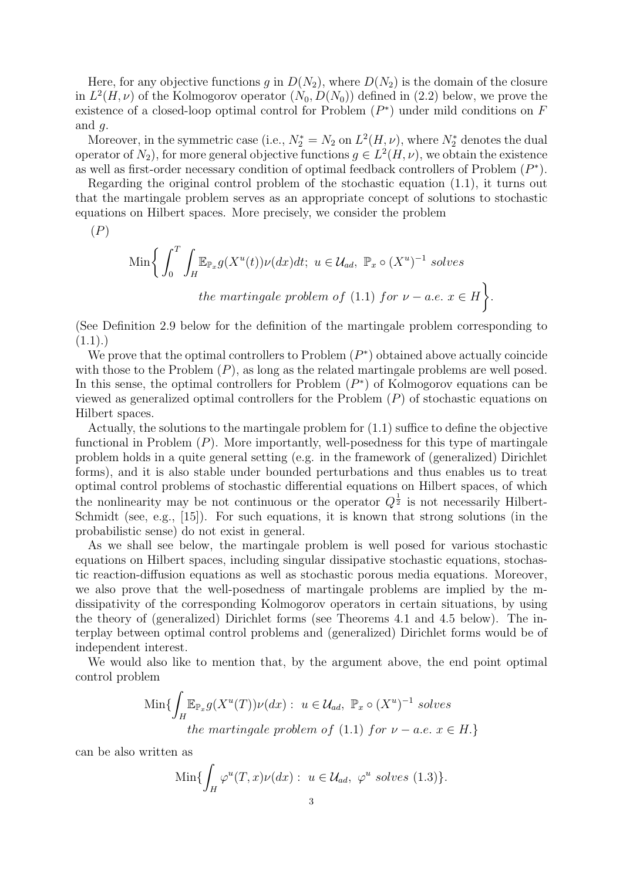Here, for any objective functions g in  $D(N_2)$ , where  $D(N_2)$  is the domain of the closure in  $L^2(H,\nu)$  of the Kolmogorov operator  $(N_0, D(N_0))$  defined in (2.2) below, we prove the existence of a closed-loop optimal control for Problem  $(P^*)$  under mild conditions on F and  $q$ .

Moreover, in the symmetric case (i.e.,  $N_2^* = N_2$  on  $L^2(H, \nu)$ , where  $N_2^*$  denotes the dual operator of  $N_2$ ), for more general objective functions  $g \in L^2(H, \nu)$ , we obtain the existence as well as first-order necessary condition of optimal feedback controllers of Problem  $(P^*)$ .

Regarding the original control problem of the stochastic equation (1.1), it turns out that the martingale problem serves as an appropriate concept of solutions to stochastic equations on Hilbert spaces. More precisely, we consider the problem

 $(P)$ 

$$
\text{Min}\bigg\{\int_0^T \int_H \mathbb{E}_{\mathbb{P}_x} g(X^u(t))\nu(dx)dt; \ u \in \mathcal{U}_{ad}, \ \mathbb{P}_x \circ (X^u)^{-1} \text{ solves}
$$
\n
$$
\text{the martingale problem of (1.1) for } \nu - a.e. \ x \in H \bigg\}.
$$

(See Definition 2.9 below for the definition of the martingale problem corresponding to  $(1.1).$ 

We prove that the optimal controllers to Problem  $(P^*)$  obtained above actually coincide with those to the Problem  $(P)$ , as long as the related martingale problems are well posed. In this sense, the optimal controllers for Problem  $(P^*)$  of Kolmogorov equations can be viewed as generalized optimal controllers for the Problem  $(P)$  of stochastic equations on Hilbert spaces.

Actually, the solutions to the martingale problem for (1.1) suffice to define the objective functional in Problem  $(P)$ . More importantly, well-posedness for this type of martingale problem holds in a quite general setting (e.g. in the framework of (generalized) Dirichlet forms), and it is also stable under bounded perturbations and thus enables us to treat optimal control problems of stochastic differential equations on Hilbert spaces, of which the nonlinearity may be not continuous or the operator  $Q^{\frac{1}{2}}$  is not necessarily Hilbert-Schmidt (see, e.g., [15]). For such equations, it is known that strong solutions (in the probabilistic sense) do not exist in general.

As we shall see below, the martingale problem is well posed for various stochastic equations on Hilbert spaces, including singular dissipative stochastic equations, stochastic reaction-diffusion equations as well as stochastic porous media equations. Moreover, we also prove that the well-posedness of martingale problems are implied by the mdissipativity of the corresponding Kolmogorov operators in certain situations, by using the theory of (generalized) Dirichlet forms (see Theorems 4.1 and 4.5 below). The interplay between optimal control problems and (generalized) Dirichlet forms would be of independent interest.

We would also like to mention that, by the argument above, the end point optimal control problem

Min
$$
\{\int_H \mathbb{E}_{\mathbb{P}_x} g(X^u(T)) \nu(dx) : u \in \mathcal{U}_{ad}, \mathbb{P}_x \circ (X^u)^{-1} \text{ solves} \}
$$
  
the martingale problem of (1.1) for  $\nu - a.e. x \in H.$ }

can be also written as

$$
\operatorname{Min}\{\int_H \varphi^u(T,x)\nu(dx): u \in \mathcal{U}_{ad}, \varphi^u \text{ solves (1.3)}\}.
$$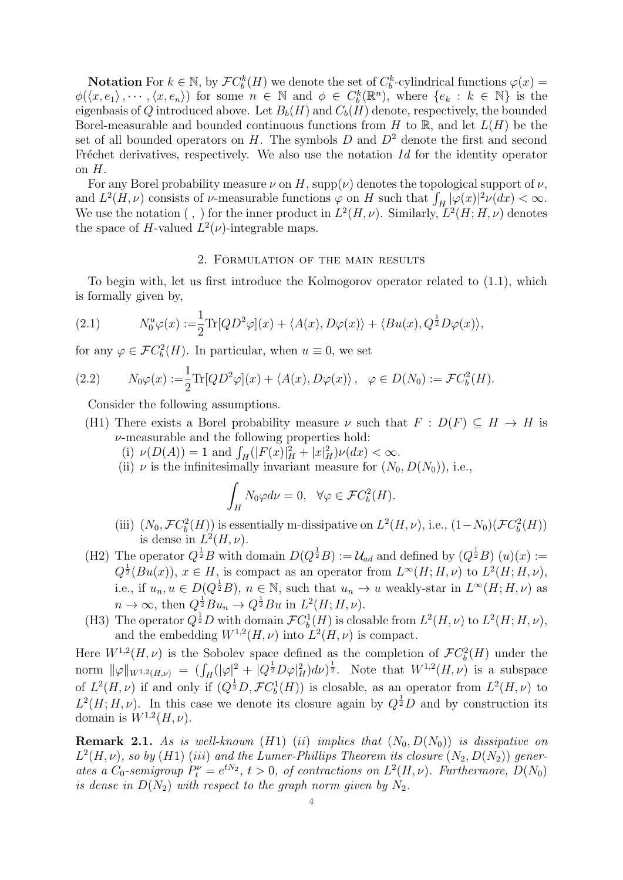**Notation** For  $k \in \mathbb{N}$ , by  $\mathcal{F}C_b^k(H)$  we denote the set of  $C_b^k$ -cylindrical functions  $\varphi(x)$  =  $\phi(\langle x, e_1 \rangle, \dots, \langle x, e_n \rangle)$  for some  $n \in \mathbb{N}$  and  $\phi \in C_b^k(\mathbb{R}^n)$ , where  $\{e_k : k \in \mathbb{N}\}\$  is the eigenbasis of Q introduced above. Let  $B_b(H)$  and  $C_b(H)$  denote, respectively, the bounded Borel-measurable and bounded continuous functions from H to R, and let  $L(H)$  be the set of all bounded operators on H. The symbols  $D$  and  $D<sup>2</sup>$  denote the first and second Fréchet derivatives, respectively. We also use the notation  $Id$  for the identity operator on  $H$ .

For any Borel probability measure  $\nu$  on H, supp $(\nu)$  denotes the topological support of  $\nu$ , and  $L^2(H,\nu)$  consists of  $\nu$ -measurable functions  $\varphi$  on H such that  $\int_H |\varphi(x)|^2 \nu(dx) < \infty$ . We use the notation (, ) for the inner product in  $L^2(H, \nu)$ . Similarly,  $L^2(H; H, \nu)$  denotes the space of H-valued  $L^2(\nu)$ -integrable maps.

## 2. Formulation of the main results

To begin with, let us first introduce the Kolmogorov operator related to (1.1), which is formally given by,

(2.1) 
$$
N_0^u \varphi(x) := \frac{1}{2} \text{Tr}[Q D^2 \varphi](x) + \langle A(x), D\varphi(x) \rangle + \langle B u(x), Q^{\frac{1}{2}} D\varphi(x) \rangle,
$$

for any  $\varphi \in \mathcal{F}C_b^2(H)$ . In particular, when  $u \equiv 0$ , we set

(2.2) 
$$
N_0\varphi(x) := \frac{1}{2}\text{Tr}[Q D^2\varphi](x) + \langle A(x), D\varphi(x) \rangle, \quad \varphi \in D(N_0) := \mathcal{F}C_b^2(H).
$$

Consider the following assumptions.

- (H1) There exists a Borel probability measure  $\nu$  such that  $F : D(F) \subseteq H \to H$  is  $\nu$ -measurable and the following properties hold:
	- (i)  $\nu(D(A)) = 1$  and  $\int_H (|F(x)|_H^2 + |x|_H^2) \nu(dx) < \infty$ .
	- (ii)  $\nu$  is the infinitesimally invariant measure for  $(N_0, D(N_0))$ , i.e.,

$$
\int_H N_0 \varphi d\nu = 0, \quad \forall \varphi \in \mathcal{F}C_b^2(H).
$$

- (iii)  $(N_0, \mathcal{F}C_b^2(H))$  is essentially m-dissipative on  $L^2(H, \nu)$ , i.e.,  $(1-N_0)(\mathcal{F}C_b^2(H))$ is dense in  $L^2(H,\nu)$ .
- (H2) The operator  $Q^{\frac{1}{2}}B$  with domain  $D(Q^{\frac{1}{2}}B) := \mathcal{U}_{ad}$  and defined by  $(Q^{\frac{1}{2}}B)(u)(x) :=$  $Q^{\frac{1}{2}}(Bu(x)), x \in H$ , is compact as an operator from  $L^{\infty}(H; H, \nu)$  to  $L^{2}(H; H, \nu)$ , i.e., if  $u_n, u \in D(Q^{\frac{1}{2}}B)$ ,  $n \in \mathbb{N}$ , such that  $u_n \to u$  weakly-star in  $L^{\infty}(H; H, \nu)$  as  $n \to \infty$ , then  $Q^{\frac{1}{2}}Bu_n \to Q^{\frac{1}{2}}Bu$  in  $L^2(H; H, \nu)$ .
- (H3) The operator  $Q^{\frac{1}{2}}D$  with domain  $\mathcal{F}C_b^1(H)$  is closable from  $L^2(H,\nu)$  to  $L^2(H;H,\nu)$ , and the embedding  $W^{1,2}(H,\nu)$  into  $L^2(H,\nu)$  is compact.

Here  $W^{1,2}(H,\nu)$  is the Sobolev space defined as the completion of  $\mathcal{F}C_b^2(H)$  under the norm  $\|\varphi\|_{W^{1,2}(H,\nu)} = (\int_H (|\varphi|^2 + |Q^{\frac{1}{2}} D\varphi|_H^2) d\nu)^{\frac{1}{2}}$ . Note that  $W^{1,2}(H,\nu)$  is a subspace of  $L^2(H,\nu)$  if and only if  $(Q^{\frac{1}{2}}D, \mathcal{F}C_b^1(H))$  is closable, as an operator from  $L^2(H,\nu)$  to  $L^2(H; H, \nu)$ . In this case we denote its closure again by  $Q^{\frac{1}{2}}D$  and by construction its domain is  $W^{1,2}(H,\nu)$ .

**Remark 2.1.** As is well-known (H1) (ii) implies that  $(N_0, D(N_0))$  is dissipative on  $L^2(H,\nu)$ , so by (H1) (iii) and the Lumer-Phillips Theorem its closure  $(N_2, D(N_2))$  generates a  $C_0$ -semigroup  $P_t^{\nu} = e^{tN_2}$ ,  $t > 0$ , of contractions on  $L^2(H, \nu)$ . Furthermore,  $D(N_0)$ is dense in  $D(N_2)$  with respect to the graph norm given by  $N_2$ .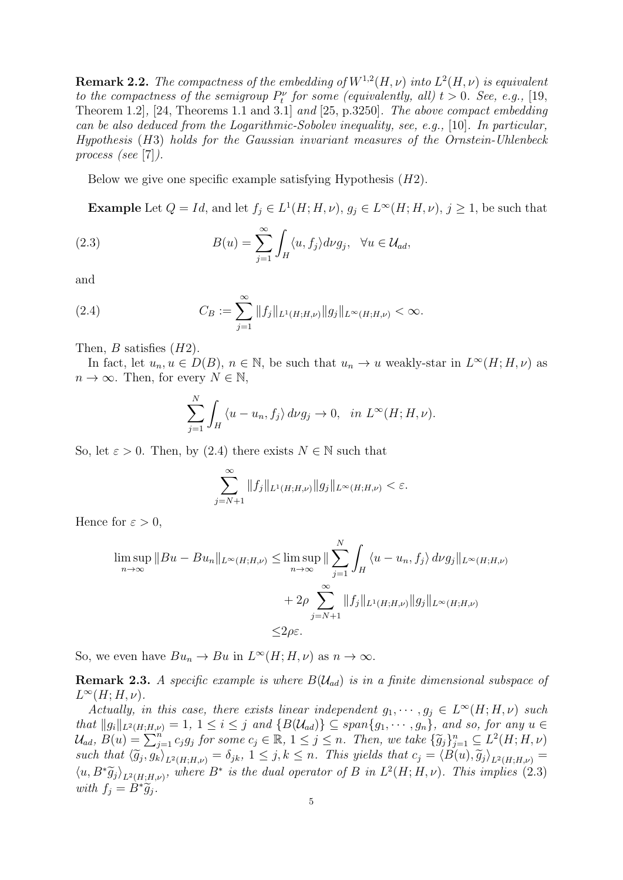**Remark 2.2.** The compactness of the embedding of  $W^{1,2}(H,\nu)$  into  $L^2(H,\nu)$  is equivalent to the compactness of the semigroup  $P_t^{\nu}$  for some (equivalently, all)  $t > 0$ . See, e.g., [19, Theorem 1.2], [24, Theorems 1.1 and 3.1] and [25, p.3250]. The above compact embedding can be also deduced from the Logarithmic-Sobolev inequality, see, e.g., [10]. In particular, Hypothesis (H3) holds for the Gaussian invariant measures of the Ornstein-Uhlenbeck process (see [7]).

Below we give one specific example satisfying Hypothesis  $(H2)$ .

**Example** Let  $Q = Id$ , and let  $f_j \in L^1(H; H, \nu)$ ,  $g_j \in L^{\infty(H; H, \nu)}$ ,  $j \geq 1$ , be such that

(2.3) 
$$
B(u) = \sum_{j=1}^{\infty} \int_{H} \langle u, f_{j} \rangle d\nu g_{j}, \quad \forall u \in \mathcal{U}_{ad},
$$

and

(2.4) 
$$
C_B := \sum_{j=1}^{\infty} ||f_j||_{L^1(H;H,\nu)} ||g_j||_{L^{\infty}(H;H,\nu)} < \infty.
$$

Then,  $B$  satisfies  $(H2)$ .

In fact, let  $u_n, u \in D(B)$ ,  $n \in \mathbb{N}$ , be such that  $u_n \to u$  weakly-star in  $L^{\infty}(H; H, \nu)$  as  $n \to \infty$ . Then, for every  $N \in \mathbb{N}$ ,

$$
\sum_{j=1}^{N} \int_{H} \langle u - u_n, f_j \rangle \, d\nu g_j \to 0, \quad \text{in } L^{\infty}(H; H, \nu).
$$

So, let  $\varepsilon > 0$ . Then, by (2.4) there exists  $N \in \mathbb{N}$  such that

$$
\sum_{j=N+1}^{\infty} ||f_j||_{L^1(H;H,\nu)} ||g_j||_{L^{\infty}(H;H,\nu)} < \varepsilon.
$$

Hence for  $\varepsilon > 0$ ,

$$
\limsup_{n \to \infty} ||Bu - Bu_n||_{L^{\infty}(H;H,\nu)} \le \limsup_{n \to \infty} \|\sum_{j=1}^{N} \int_{H} \langle u - u_n, f_j \rangle d\nu g_j||_{L^{\infty}(H;H,\nu)}
$$

$$
+ 2\rho \sum_{j=N+1}^{\infty} ||f_j||_{L^1(H;H,\nu)} ||g_j||_{L^{\infty}(H;H,\nu)}
$$

$$
\le 2\rho \varepsilon.
$$

So, we even have  $Bu_n \to Bu$  in  $L^{\infty}(H; H, \nu)$  as  $n \to \infty$ .

**Remark 2.3.** A specific example is where  $B(\mathcal{U}_{ad})$  is in a finite dimensional subspace of  $L^{\infty}(H;H,\nu).$ 

Actually, in this case, there exists linear independent  $g_1, \dots, g_j \in L^{\infty}(H; H, \nu)$  such that  $||g_i||_{L^2(H;H,\nu)} = 1, 1 \leq i \leq j$  and  $\{B(\mathcal{U}_{ad})\} \subseteq span\{g_1, \dots, g_n\}$ , and so, for any  $u \in$  $\mathcal{U}_{ad}$ ,  $B(u) = \sum_{j=1}^{n} c_j g_j$  for some  $c_j \in \mathbb{R}$ ,  $1 \leq j \leq n$ . Then, we take  $\{\widetilde{g}_j\}_{j=1}^n \subseteq L^2(H; H, \nu)$ such that  $\langle \widetilde{g}_j, g_k \rangle_{L^2(H;H,\nu)} = \delta_{jk}, 1 \leq j, k \leq n$ . This yields that  $c_j = \langle B(u), \widetilde{g}_j \rangle_{L^2(H;H,\nu)} =$  $\langle u, B^* \widetilde{g}_j \rangle_{L^2(H;H,\nu)},$  where  $B^*$  is the dual operator of B in  $L^2(H; H, \nu)$ . This implies (2.3) with  $f_j = \hat{B}^*\widetilde{g}_j$ .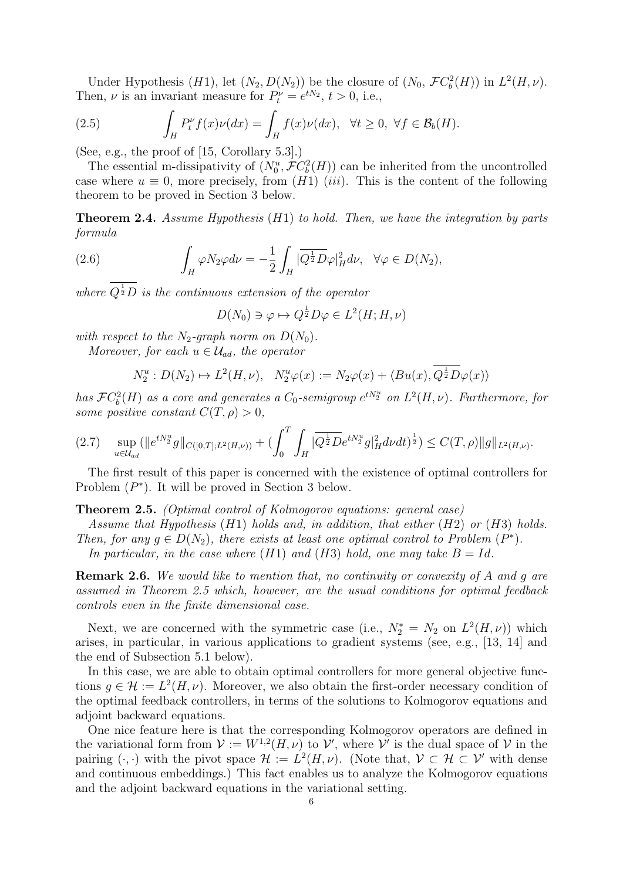Under Hypothesis (*H*1), let  $(N_2, D(N_2))$  be the closure of  $(N_0, \mathcal{F}C_b^2(H))$  in  $L^2(H, \nu)$ . Then,  $\nu$  is an invariant measure for  $P_t^{\nu} = e^{tN_2}$ ,  $t > 0$ , i.e.,

(2.5) 
$$
\int_H P_t^{\nu} f(x) \nu(dx) = \int_H f(x) \nu(dx), \quad \forall t \ge 0, \ \forall f \in \mathcal{B}_b(H).
$$

(See, e.g., the proof of [15, Corollary 5.3].)

The essential m-dissipativity of  $(N_0^u, \mathcal{F}C_b^2(H))$  can be inherited from the uncontrolled case where  $u \equiv 0$ , more precisely, from  $(H1)$  (iii). This is the content of the following theorem to be proved in Section 3 below.

**Theorem 2.4.** Assume Hypothesis  $(H1)$  to hold. Then, we have the integration by parts formula

(2.6) 
$$
\int_H \varphi N_2 \varphi d\nu = -\frac{1}{2} \int_H |\overline{Q^{\frac{1}{2}} D} \varphi|_H^2 d\nu, \quad \forall \varphi \in D(N_2),
$$

where  $Q^{\frac{1}{2}}D$  is the continuous extension of the operator

$$
D(N_0) \ni \varphi \mapsto Q^{\frac{1}{2}} D\varphi \in L^2(H; H, \nu)
$$

with respect to the  $N_2$ -graph norm on  $D(N_0)$ .

Moreover, for each  $u \in \mathcal{U}_{ad}$ , the operator

$$
N_2^u: D(N_2) \mapsto L^2(H, \nu), \quad N_2^u \varphi(x) := N_2 \varphi(x) + \langle Bu(x), Q^{\frac{1}{2}} D\varphi(x) \rangle
$$

has  $\mathcal{F}C_b^2(H)$  as a core and generates a  $C_0$ -semigroup  $e^{tN_2^u}$  on  $L^2(H,\nu)$ . Furthermore, for some positive constant  $C(T, \rho) > 0$ ,

$$
(2.7) \quad \sup_{u \in \mathcal{U}_{ad}} (\|e^{tN_2^u}g\|_{C([0,T];L^2(H,\nu))} + (\int_0^T \int_H |\overline{Q^{\frac{1}{2}}D}e^{tN_2^u}g|_H^2 d\nu dt)^{\frac{1}{2}}) \leq C(T,\rho) \|g\|_{L^2(H,\nu)}.
$$

The first result of this paper is concerned with the existence of optimal controllers for Problem  $(P^*)$ . It will be proved in Section 3 below.

Theorem 2.5. (Optimal control of Kolmogorov equations: general case)

Assume that Hypothesis  $(H1)$  holds and, in addition, that either  $(H2)$  or  $(H3)$  holds.

Then, for any  $g \in D(N_2)$ , there exists at least one optimal control to Problem  $(P^*)$ .

In particular, in the case where  $(H1)$  and  $(H3)$  hold, one may take  $B = Id$ .

Remark 2.6. We would like to mention that, no continuity or convexity of A and q are assumed in Theorem 2.5 which, however, are the usual conditions for optimal feedback controls even in the finite dimensional case.

Next, we are concerned with the symmetric case (i.e.,  $N_2^* = N_2$  on  $L^2(H,\nu)$ ) which arises, in particular, in various applications to gradient systems (see, e.g., [13, 14] and the end of Subsection 5.1 below).

In this case, we are able to obtain optimal controllers for more general objective functions  $g \in \mathcal{H} := L^2(H, \nu)$ . Moreover, we also obtain the first-order necessary condition of the optimal feedback controllers, in terms of the solutions to Kolmogorov equations and adjoint backward equations.

One nice feature here is that the corresponding Kolmogorov operators are defined in the variational form from  $\mathcal{V} := W^{1,2}(H,\nu)$  to  $\mathcal{V}'$ , where  $\mathcal{V}'$  is the dual space of  $\mathcal{V}$  in the pairing  $(\cdot, \cdot)$  with the pivot space  $\mathcal{H} := L^2(H, \nu)$ . (Note that,  $\mathcal{V} \subset \mathcal{H} \subset \mathcal{V}'$  with dense and continuous embeddings.) This fact enables us to analyze the Kolmogorov equations and the adjoint backward equations in the variational setting.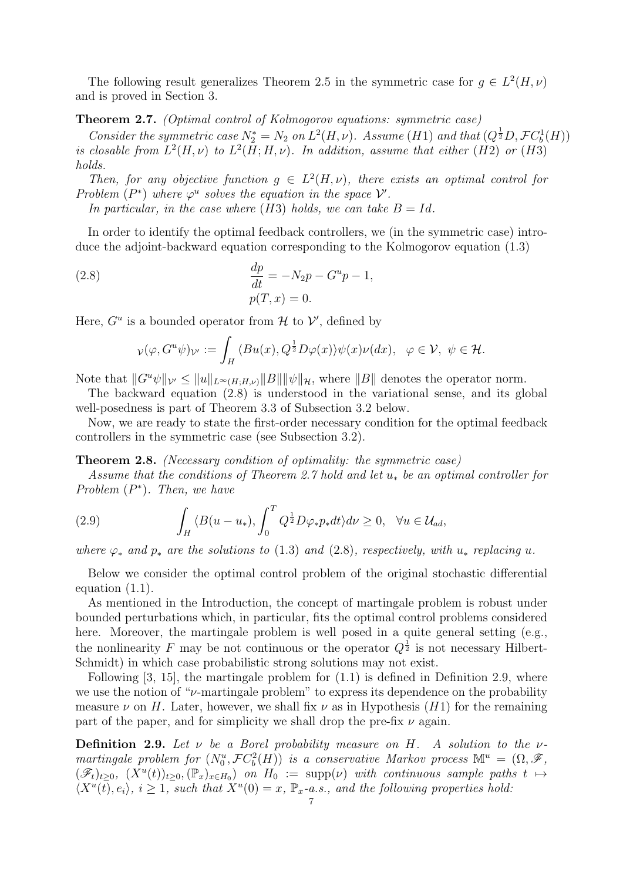The following result generalizes Theorem 2.5 in the symmetric case for  $g \in L^2(H, \nu)$ and is proved in Section 3.

#### Theorem 2.7. (Optimal control of Kolmogorov equations: symmetric case)

Consider the symmetric case  $N_2^* = N_2$  on  $L^2(H,\nu)$ . Assume (H1) and that  $(Q^{\frac{1}{2}}D, \mathcal{F}C_b^1(H))$ is closable from  $L^2(H, \nu)$  to  $L^2(H, H, \nu)$ . In addition, assume that either (H2) or (H3) holds.

Then, for any objective function  $g \in L^2(H,\nu)$ , there exists an optimal control for Problem  $(P^*)$  where  $\varphi^u$  solves the equation in the space  $\mathcal V'$ .

In particular, in the case where  $(H3)$  holds, we can take  $B = Id$ .

In order to identify the optimal feedback controllers, we (in the symmetric case) introduce the adjoint-backward equation corresponding to the Kolmogorov equation (1.3)

(2.8) 
$$
\frac{dp}{dt} = -N_2 p - G^u p - 1, p(T, x) = 0.
$$

Here,  $G^u$  is a bounded operator from  $\mathcal H$  to  $\mathcal V'$ , defined by

$$
\nu(\varphi, G^u \psi)_{\mathcal{V}'} := \int_H \langle Bu(x), Q^{\frac{1}{2}} D\varphi(x) \rangle \psi(x) \nu(dx), \ \ \varphi \in \mathcal{V}, \ \psi \in \mathcal{H}.
$$

Note that  $||G^u \psi||_{\mathcal{V}} \leq ||u||_{L^{\infty}(H;H,\mathcal{V})}||B|| ||\psi||_{\mathcal{H}}$ , where  $||B||$  denotes the operator norm.

The backward equation (2.8) is understood in the variational sense, and its global well-posedness is part of Theorem 3.3 of Subsection 3.2 below.

Now, we are ready to state the first-order necessary condition for the optimal feedback controllers in the symmetric case (see Subsection 3.2).

### Theorem 2.8. (Necessary condition of optimality: the symmetric case)

Assume that the conditions of Theorem 2.7 hold and let  $u_*$  be an optimal controller for Problem  $(P^*)$ . Then, we have

(2.9) 
$$
\int_H \langle B(u - u_*) , \int_0^T Q^{\frac{1}{2}} D\varphi_* p_* dt \rangle d\nu \geq 0, \quad \forall u \in \mathcal{U}_{ad},
$$

where  $\varphi_*$  and  $p_*$  are the solutions to (1.3) and (2.8), respectively, with  $u_*$  replacing u.

Below we consider the optimal control problem of the original stochastic differential equation (1.1).

As mentioned in the Introduction, the concept of martingale problem is robust under bounded perturbations which, in particular, fits the optimal control problems considered here. Moreover, the martingale problem is well posed in a quite general setting (e.g., the nonlinearity F may be not continuous or the operator  $Q^{\frac{1}{2}}$  is not necessary Hilbert-Schmidt) in which case probabilistic strong solutions may not exist.

Following [3, 15], the martingale problem for (1.1) is defined in Definition 2.9, where we use the notion of " $\nu$ -martingale problem" to express its dependence on the probability measure  $\nu$  on H. Later, however, we shall fix  $\nu$  as in Hypothesis (H1) for the remaining part of the paper, and for simplicity we shall drop the pre-fix  $\nu$  again.

**Definition 2.9.** Let  $\nu$  be a Borel probability measure on H. A solution to the  $\nu$ martingale problem for  $(N_0^u, \mathcal{F}C_b^2(H))$  is a conservative Markov process  $\mathbb{M}^u = (\Omega, \mathscr{F},$  $(\mathscr{F}_t)_{t\geq0}$ ,  $(\overline{X}^u(t))_{t\geq0}$ ,  $(\mathbb{P}_x)_{x\in H_0}$  on  $H_0 := \text{supp}(\nu)$  with continuous sample paths  $t \mapsto$  $\langle X^u(\overline{t}), e_i \rangle$ ,  $i \geq 1$ , such that  $X^u(0) = x$ ,  $\mathbb{P}_x$ -a.s., and the following properties hold: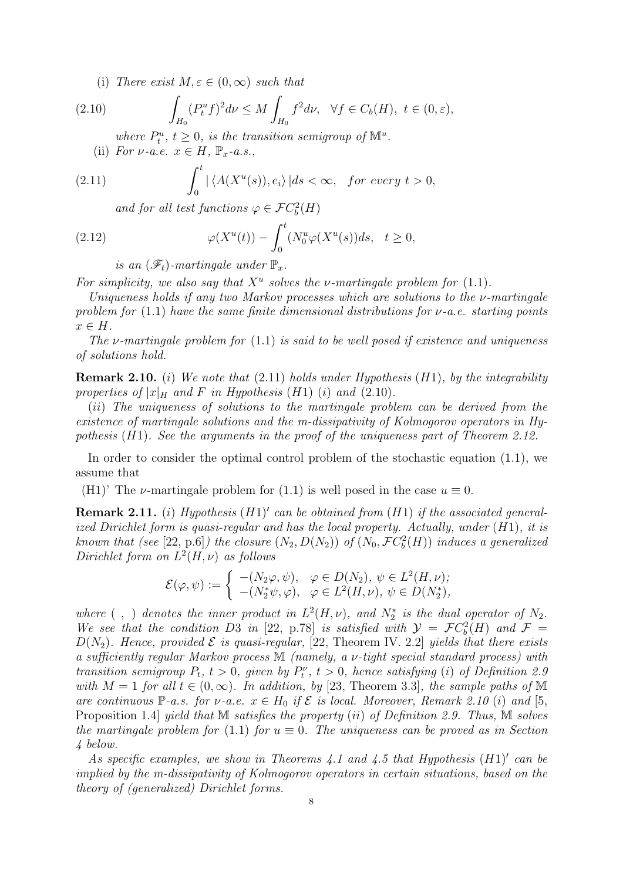(i) There exist  $M, \varepsilon \in (0, \infty)$  such that

(2.10) 
$$
\int_{H_0} (P_t^u f)^2 d\nu \le M \int_{H_0} f^2 d\nu, \ \ \forall f \in C_b(H), \ t \in (0, \varepsilon),
$$

where  $P_t^u$ ,  $t \geq 0$ , is the transition semigroup of  $\mathbb{M}^u$ .

(ii) For  $\nu$ -a.e.  $x \in H$ ,  $\mathbb{P}_x$ -a.s.,

(2.11) 
$$
\int_0^t |\langle A(X^u(s)), e_i \rangle| ds < \infty, \text{ for every } t > 0,
$$

and for all test functions  $\varphi \in \mathcal{F}C_b^2(H)$ 

(2.12) 
$$
\varphi(X^u(t)) - \int_0^t (N_0^u \varphi(X^u(s))ds, \quad t \ge 0,
$$

is an  $(\mathscr{F}_t)$ -martingale under  $\mathbb{P}_x$ .

For simplicity, we also say that  $X^u$  solves the v-martingale problem for (1.1).

Uniqueness holds if any two Markov processes which are solutions to the ν-martingale problem for (1.1) have the same finite dimensional distributions for  $\nu$ -a.e. starting points  $x \in H$ .

The v-martingale problem for  $(1.1)$  is said to be well posed if existence and uniqueness of solutions hold.

**Remark 2.10.** (i) We note that  $(2.11)$  holds under Hypothesis  $(H1)$ , by the integrability properties of  $|x|_H$  and F in Hypothesis (H1) (i) and (2.10).

(ii) The uniqueness of solutions to the martingale problem can be derived from the existence of martingale solutions and the m-dissipativity of Kolmogorov operators in Hypothesis  $(H1)$ . See the arguments in the proof of the uniqueness part of Theorem 2.12.

In order to consider the optimal control problem of the stochastic equation (1.1), we assume that

(H1)' The *v*-martingale problem for (1.1) is well posed in the case  $u \equiv 0$ .

**Remark 2.11.** (i) Hypothesis  $(H1)'$  can be obtained from  $(H1)$  if the associated generalized Dirichlet form is quasi-regular and has the local property. Actually, under (H1), it is known that (see [22, p.6]) the closure  $(N_2, D(N_2))$  of  $(N_0, \mathcal{F}C_b^2(H))$  induces a generalized Dirichlet form on  $L^2(H,\nu)$  as follows

$$
\mathcal{E}(\varphi, \psi) := \begin{cases}\n-(N_2\varphi, \psi), & \varphi \in D(N_2), \ \psi \in L^2(H, \nu);\n\\
-(N_2^* \psi, \varphi), & \varphi \in L^2(H, \nu), \ \psi \in D(N_2^*),\n\end{cases}
$$

where  $( , )$  denotes the inner product in  $L^2(H, \nu)$ , and  $N_2^*$  is the dual operator of  $N_2$ . We see that the condition D3 in [22, p.78] is satisfied with  $\mathcal{Y} = \mathcal{F}C_b^2(H)$  and  $\mathcal{F} =$  $D(N_2)$ . Hence, provided  $\mathcal E$  is quasi-regular, [22, Theorem IV. 2.2] yields that there exists a sufficiently regular Markov process M (namely, a ν-tight special standard process) with transition semigroup  $P_t$ ,  $t > 0$ , given by  $P_t^{\nu}$ ,  $t > 0$ , hence satisfying (i) of Definition 2.9 with  $M = 1$  for all  $t \in (0, \infty)$ . In addition, by [23, Theorem 3.3], the sample paths of M are continuous P-a.s. for  $\nu$ -a.e.  $x \in H_0$  if  $\mathcal E$  is local. Moreover, Remark 2.10 (i) and [5, Proposition 1.4] yield that M satisfies the property (ii) of Definition 2.9. Thus, M solves the martingale problem for (1.1) for  $u \equiv 0$ . The uniqueness can be proved as in Section 4 below.

As specific examples, we show in Theorems 4.1 and 4.5 that Hypothesis  $(H1)'$  can be implied by the m-dissipativity of Kolmogorov operators in certain situations, based on the theory of (generalized) Dirichlet forms.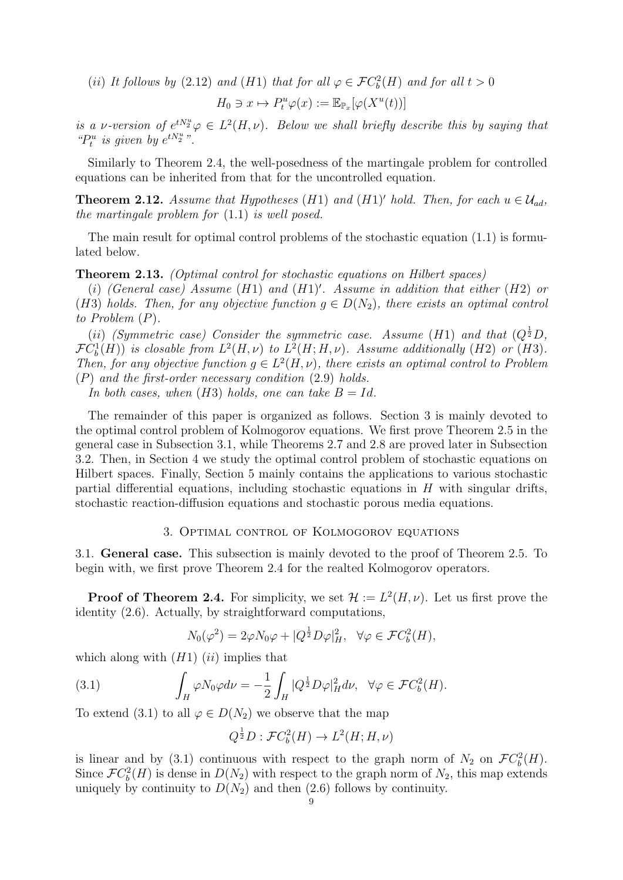(ii) It follows by (2.12) and (H1) that for all  $\varphi \in \mathcal{F}C_b^2(H)$  and for all  $t > 0$ 

$$
H_0 \ni x \mapsto P_t^u \varphi(x) := \mathbb{E}_{\mathbb{P}_x}[\varphi(X^u(t))]
$$

is a v-version of  $e^{tN_{2}^{u}}\varphi \in L^{2}(H, \nu)$ . Below we shall briefly describe this by saying that " $P_t^u$  is given by  $e^{tN_2^u}$ ".

Similarly to Theorem 2.4, the well-posedness of the martingale problem for controlled equations can be inherited from that for the uncontrolled equation.

**Theorem 2.12.** Assume that Hypotheses (H1) and (H1)' hold. Then, for each  $u \in \mathcal{U}_{ad}$ , the martingale problem for (1.1) is well posed.

The main result for optimal control problems of the stochastic equation (1.1) is formulated below.

Theorem 2.13. (Optimal control for stochastic equations on Hilbert spaces)

(i) (General case) Assume  $(H1)$  and  $(H1)'$ . Assume in addition that either  $(H2)$  or (H3) holds. Then, for any objective function  $q \in D(N_2)$ , there exists an optimal control to Problem (P).

(ii) (Symmetric case) Consider the symmetric case. Assume (H1) and that  $(Q^{\frac{1}{2}}D,$  $\mathcal{F}C_b^1(H)$ ) is closable from  $L^2(H,\nu)$  to  $L^2(H;H,\nu)$ . Assume additionally (H2) or (H3). Then, for any objective function  $g \in L^2(H, \nu)$ , there exists an optimal control to Problem  $(P)$  and the first-order necessary condition  $(2.9)$  holds.

In both cases, when  $(H3)$  holds, one can take  $B = Id$ .

The remainder of this paper is organized as follows. Section 3 is mainly devoted to the optimal control problem of Kolmogorov equations. We first prove Theorem 2.5 in the general case in Subsection 3.1, while Theorems 2.7 and 2.8 are proved later in Subsection 3.2. Then, in Section 4 we study the optimal control problem of stochastic equations on Hilbert spaces. Finally, Section 5 mainly contains the applications to various stochastic partial differential equations, including stochastic equations in  $H$  with singular drifts, stochastic reaction-diffusion equations and stochastic porous media equations.

### 3. Optimal control of Kolmogorov equations

3.1. General case. This subsection is mainly devoted to the proof of Theorem 2.5. To begin with, we first prove Theorem 2.4 for the realted Kolmogorov operators.

**Proof of Theorem 2.4.** For simplicity, we set  $\mathcal{H} := L^2(H, \nu)$ . Let us first prove the identity (2.6). Actually, by straightforward computations,

$$
N_0(\varphi^2) = 2\varphi N_0 \varphi + |Q^{\frac{1}{2}} D\varphi|_H^2, \ \ \forall \varphi \in \mathcal{F}C_b^2(H),
$$

which along with  $(H1)$   $(ii)$  implies that

(3.1) 
$$
\int_H \varphi N_0 \varphi d\nu = -\frac{1}{2} \int_H |Q^{\frac{1}{2}} D\varphi|_H^2 d\nu, \quad \forall \varphi \in \mathcal{F}C_b^2(H).
$$

To extend (3.1) to all  $\varphi \in D(N_2)$  we observe that the map

$$
Q^{\frac{1}{2}}D: \mathcal{F}C_b^2(H) \to L^2(H; H, \nu)
$$

is linear and by (3.1) continuous with respect to the graph norm of  $N_2$  on  $\mathcal{F}C_b^2(H)$ . Since  $\mathcal{F}C_b^2(H)$  is dense in  $D(N_2)$  with respect to the graph norm of  $N_2$ , this map extends uniquely by continuity to  $D(N_2)$  and then (2.6) follows by continuity.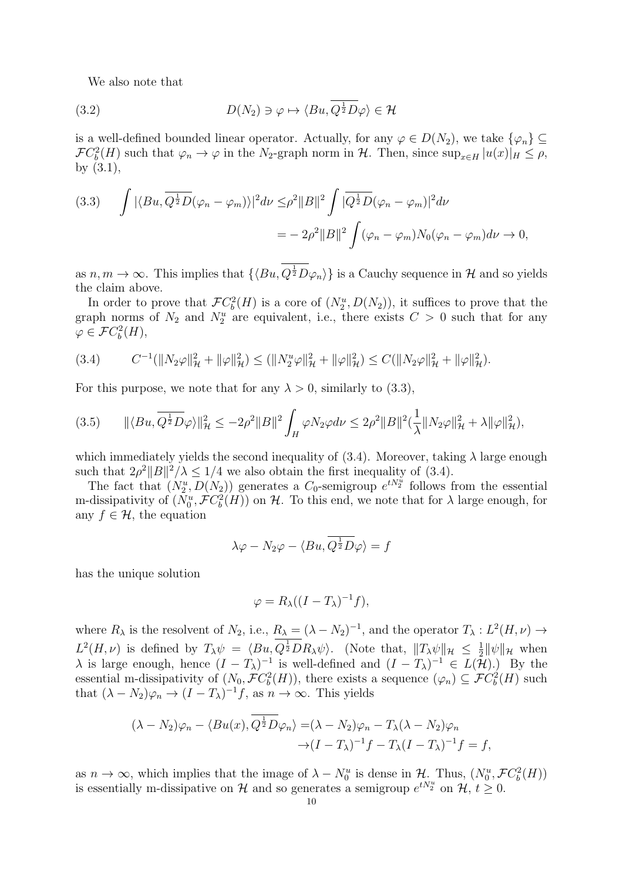We also note that

(3.2) 
$$
D(N_2) \ni \varphi \mapsto \langle Bu, Q^{\frac{1}{2}} D\varphi \rangle \in \mathcal{H}
$$

is a well-defined bounded linear operator. Actually, for any  $\varphi \in D(N_2)$ , we take  $\{\varphi_n\} \subseteq$  $\mathcal{F}C_b^2(H)$  such that  $\varphi_n \to \varphi$  in the N<sub>2</sub>-graph norm in H. Then, since  $\sup_{x \in H} |u(x)|_H \leq \rho$ , by (3.1),

(3.3) 
$$
\int |\langle Bu, \overline{Q^{\frac{1}{2}}D}(\varphi_n - \varphi_m) \rangle|^2 d\nu \leq \rho^2 ||B||^2 \int |\overline{Q^{\frac{1}{2}}D}(\varphi_n - \varphi_m)|^2 d\nu
$$

$$
= -2\rho^2 ||B||^2 \int (\varphi_n - \varphi_m) N_0(\varphi_n - \varphi_m) d\nu \to 0,
$$

as  $n, m \to \infty$ . This implies that  $\{ \langle Bu, Q^{\frac{1}{2}} D\varphi_n \rangle \}$  is a Cauchy sequence in H and so yields the claim above.

In order to prove that  $\mathcal{F}C_b^2(H)$  is a core of  $(N_2^u, D(N_2))$ , it suffices to prove that the graph norms of  $N_2$  and  $N_2^u$  are equivalent, i.e., there exists  $C > 0$  such that for any  $\varphi \in \mathcal{F}C_b^2(H),$ 

$$
(3.4) \tC^{-1}(\|N_2\varphi\|_{\mathcal{H}}^2 + \|\varphi\|_{\mathcal{H}}^2) \le (\|N_2^u\varphi\|_{\mathcal{H}}^2 + \|\varphi\|_{\mathcal{H}}^2) \le C(\|N_2\varphi\|_{\mathcal{H}}^2 + \|\varphi\|_{\mathcal{H}}^2).
$$

For this purpose, we note that for any  $\lambda > 0$ , similarly to (3.3),

$$
(3.5) \qquad \|\langle Bu, \overline{Q^{\frac{1}{2}}D}\varphi\rangle\|_{\mathcal{H}}^2 \le -2\rho^2 \|B\|^2 \int_H \varphi N_2 \varphi d\nu \le 2\rho^2 \|B\|^2 (\frac{1}{\lambda} \|N_2 \varphi\|_{\mathcal{H}}^2 + \lambda \|\varphi\|_{\mathcal{H}}^2),
$$

which immediately yields the second inequality of  $(3.4)$ . Moreover, taking  $\lambda$  large enough such that  $2\rho^2||B||^2/\lambda \leq 1/4$  we also obtain the first inequality of (3.4).

The fact that  $(N_2^u, D(N_2))$  generates a  $C_0$ -semigroup  $e^{tN_2^u}$  follows from the essential m-dissipativity of  $(N_0^u, \mathcal{F}C_b^2(H))$  on H. To this end, we note that for  $\lambda$  large enough, for any  $f \in \mathcal{H}$ , the equation

$$
\lambda \varphi - N_2 \varphi - \langle Bu, Q^{\frac{1}{2}} D \varphi \rangle = f
$$

has the unique solution

$$
\varphi = R_{\lambda}((I - T_{\lambda})^{-1}f),
$$

where  $R_{\lambda}$  is the resolvent of  $N_2$ , i.e.,  $R_{\lambda} = (\lambda - N_2)^{-1}$ , and the operator  $T_{\lambda}: L^2(H, \nu) \to$  $L^2(H,\nu)$  is defined by  $T_{\lambda}\psi = \langle Bu, Q^{\frac{1}{2}}DR_{\lambda}\psi \rangle$ . (Note that,  $||T_{\lambda}\psi||_{\mathcal{H}} \leq \frac{1}{2}$  $\frac{1}{2} \|\psi\|_{\mathcal{H}}$  when  $\lambda$  is large enough, hence  $(I - T_{\lambda})^{-1}$  is well-defined and  $(I - T_{\lambda})^{-1} \in L(\mathcal{H})$ .) By the essential m-dissipativity of  $(N_0, \mathcal{F}C_b^2(H))$ , there exists a sequence  $(\varphi_n) \subseteq \mathcal{F}C_b^2(H)$  such that  $(\lambda - N_2)\varphi_n \to (I - T_\lambda)^{-1}f$ , as  $n \to \infty$ . This yields

$$
(\lambda - N_2)\varphi_n - \langle Bu(x), Q^{\frac{1}{2}}D\varphi_n \rangle = (\lambda - N_2)\varphi_n - T_\lambda(\lambda - N_2)\varphi_n
$$
  
 
$$
\to (I - T_\lambda)^{-1}f - T_\lambda(I - T_\lambda)^{-1}f = f,
$$

as  $n \to \infty$ , which implies that the image of  $\lambda - N_0^u$  is dense in  $\mathcal{H}$ . Thus,  $(N_0^u, \mathcal{F}C_b^2(H))$ is essentially m-dissipative on H and so generates a semigroup  $e^{tN_2^u}$  on  $\mathcal{H}, t \geq 0$ .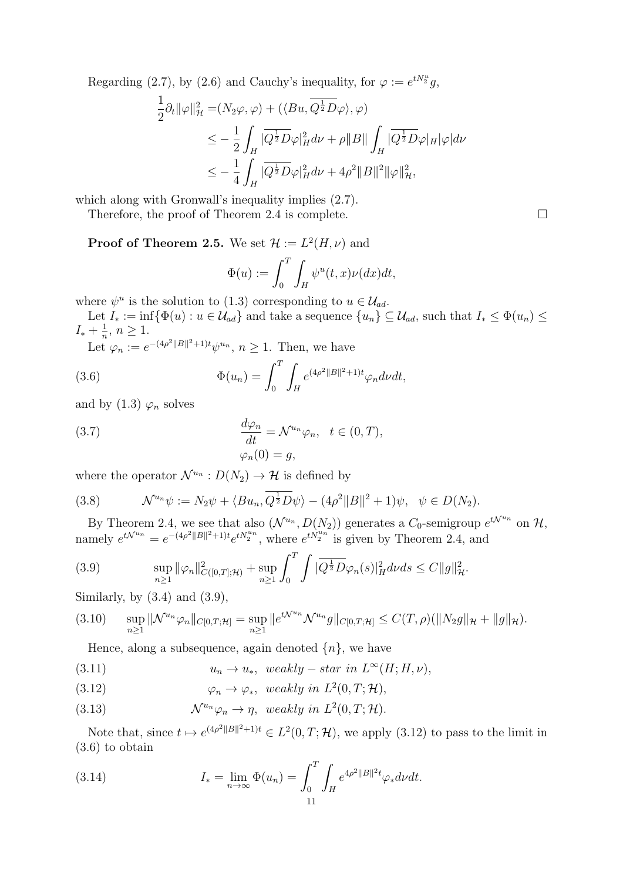Regarding (2.7), by (2.6) and Cauchy's inequality, for  $\varphi := e^{tN_{2}^{u}}g$ ,

$$
\frac{1}{2}\partial_t \|\varphi\|_{\mathcal{H}}^2 = (N_2\varphi, \varphi) + (\langle Bu, \overline{Q^{\frac{1}{2}}D\varphi} \rangle, \varphi)
$$
\n
$$
\leq -\frac{1}{2} \int_H |\overline{Q^{\frac{1}{2}}D\varphi}|_H^2 d\nu + \rho \|B\| \int_H |\overline{Q^{\frac{1}{2}}D\varphi}|_H |\varphi| d\nu
$$
\n
$$
\leq -\frac{1}{4} \int_H |\overline{Q^{\frac{1}{2}}D\varphi}|_H^2 d\nu + 4\rho^2 \|B\|^2 \|\varphi\|_{\mathcal{H}}^2,
$$

which along with Gronwall's inequality implies  $(2.7)$ .

Therefore, the proof of Theorem 2.4 is complete. □

**Proof of Theorem 2.5.** We set  $\mathcal{H} := L^2(H, \nu)$  and

$$
\Phi(u) := \int_0^T \int_H \psi^u(t, x) \nu(dx) dt,
$$

where  $\psi^u$  is the solution to (1.3) corresponding to  $u \in \mathcal{U}_{ad}$ .

Let  $I_* := \inf \{ \Phi(u) : u \in \mathcal{U}_{ad} \}$  and take a sequence  $\{u_n\} \subseteq \mathcal{U}_{ad}$ , such that  $I_* \leq \Phi(u_n) \leq \Phi(u_n)$  $I_*+\frac{1}{n}$  $\frac{1}{n}, n \geq 1.$ 

Let  $\varphi_n := e^{-(4\rho^2||B||^2+1)t}\psi^{u_n}, n \ge 1$ . Then, we have

(3.6) 
$$
\Phi(u_n) = \int_0^T \int_H e^{(4\rho^2 ||B||^2 + 1)t} \varphi_n d\nu dt,
$$

and by  $(1.3)$   $\varphi_n$  solves

(3.7) 
$$
\frac{d\varphi_n}{dt} = \mathcal{N}^{u_n} \varphi_n, \quad t \in (0, T),
$$

$$
\varphi_n(0) = g,
$$

where the operator  $\mathcal{N}^{u_n}: D(N_2) \to \mathcal{H}$  is defined by

(3.8) 
$$
\mathcal{N}^{u_n}\psi := N_2\psi + \langle Bu_n, \overline{Q^{\frac{1}{2}}D\psi}\rangle - (4\rho^2||B||^2 + 1)\psi, \quad \psi \in D(N_2).
$$

By Theorem 2.4, we see that also  $(\mathcal{N}^{u_n}, D(N_2))$  generates a  $C_0$ -semigroup  $e^{t\mathcal{N}^{u_n}}$  on  $\mathcal{H}$ , namely  $e^{t\mathcal{N}^{un}} = e^{-(4\rho^2||B||^2+1)t}e^{tN_2^{un}}$ , where  $e^{tN_2^{un}}$  is given by Theorem 2.4, and

(3.9) 
$$
\sup_{n\geq 1} \|\varphi_n\|_{C([0,T];\mathcal{H})}^2 + \sup_{n\geq 1} \int_0^T \int |\overline{Q^{\frac{1}{2}}D\varphi_n}(s)|_H^2 dv ds \leq C \|g\|_{\mathcal{H}}^2.
$$

Similarly, by  $(3.4)$  and  $(3.9)$ ,

$$
(3.10) \quad \sup_{n\geq 1} \|\mathcal{N}^{u_n}\varphi_n\|_{C[0,T;\mathcal{H}]} = \sup_{n\geq 1} \|e^{t\mathcal{N}^{u_n}}\mathcal{N}^{u_n}g\|_{C[0,T;\mathcal{H}]} \leq C(T,\rho)(\|N_2g\|_{\mathcal{H}} + \|g\|_{\mathcal{H}}).
$$

Hence, along a subsequence, again denoted  $\{n\}$ , we have

(3.11) 
$$
u_n \to u_*, \quad weakly-star \ in \ L^{\infty}(H; H, \nu),
$$

(3.12)  $\varphi_n \to \varphi_*, \text{ weakly in } L^2(0,T;\mathcal{H}),$ 

(3.13) 
$$
\mathcal{N}^{u_n} \varphi_n \to \eta, \text{ weakly in } L^2(0,T;\mathcal{H}).
$$

Note that, since  $t \mapsto e^{(4\rho^2||B||^2+1)t} \in L^2(0,T; \mathcal{H})$ , we apply (3.12) to pass to the limit in (3.6) to obtain

(3.14) 
$$
I_* = \lim_{n \to \infty} \Phi(u_n) = \int_0^T \int_H e^{4\rho^2 ||B||^2 t} \varphi_* d\nu dt.
$$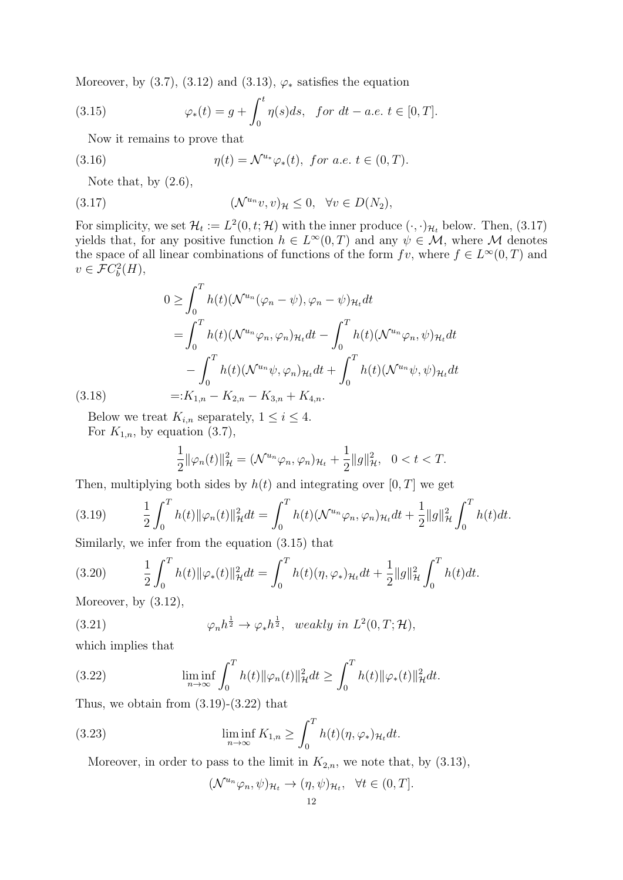Moreover, by  $(3.7)$ ,  $(3.12)$  and  $(3.13)$ ,  $\varphi_*$  satisfies the equation

(3.15) 
$$
\varphi_*(t) = g + \int_0^t \eta(s) ds, \text{ for } dt - a.e. t \in [0, T].
$$

Now it remains to prove that

(3.16) 
$$
\eta(t) = \mathcal{N}^{u_*} \varphi_*(t), \text{ for a.e. } t \in (0, T).
$$

Note that, by  $(2.6)$ ,

(3.17) 
$$
(\mathcal{N}^{u_n}v, v)_{\mathcal{H}} \leq 0, \quad \forall v \in D(N_2),
$$

For simplicity, we set  $\mathcal{H}_t := L^2(0, t; \mathcal{H})$  with the inner produce  $(\cdot, \cdot)_{\mathcal{H}_t}$  below. Then, (3.17) yields that, for any positive function  $h \in L^{\infty}(0,T)$  and any  $\psi \in M$ , where M denotes the space of all linear combinations of functions of the form  $fv$ , where  $f \in L^{\infty}(0,T)$  and  $v \in \mathcal{F}C_b^2(H)$ ,

$$
0 \geq \int_0^T h(t) (\mathcal{N}^{u_n}(\varphi_n - \psi), \varphi_n - \psi)_{\mathcal{H}_t} dt
$$
  
= 
$$
\int_0^T h(t) (\mathcal{N}^{u_n} \varphi_n, \varphi_n)_{\mathcal{H}_t} dt - \int_0^T h(t) (\mathcal{N}^{u_n} \varphi_n, \psi)_{\mathcal{H}_t} dt
$$
  
- 
$$
\int_0^T h(t) (\mathcal{N}^{u_n} \psi, \varphi_n)_{\mathcal{H}_t} dt + \int_0^T h(t) (\mathcal{N}^{u_n} \psi, \psi)_{\mathcal{H}_t} dt
$$
  
=:  $K_{1,n} - K_{2,n} - K_{3,n} + K_{4,n}$ .

Below we treat  $K_{i,n}$  separately,  $1 \leq i \leq 4$ . For  $K_{1,n}$ , by equation (3.7),

$$
\frac{1}{2} \|\varphi_n(t)\|_{\mathcal{H}}^2 = (\mathcal{N}^{u_n} \varphi_n, \varphi_n)_{\mathcal{H}_t} + \frac{1}{2} \|g\|_{\mathcal{H}}^2, \quad 0 < t < T.
$$

Then, multiplying both sides by  $h(t)$  and integrating over  $[0, T]$  we get

(3.19) 
$$
\frac{1}{2} \int_0^T h(t) \|\varphi_n(t)\|_{\mathcal{H}}^2 dt = \int_0^T h(t) (\mathcal{N}^{u_n} \varphi_n, \varphi_n)_{\mathcal{H}_t} dt + \frac{1}{2} \|g\|_{\mathcal{H}}^2 \int_0^T h(t) dt.
$$

Similarly, we infer from the equation (3.15) that

(3.20) 
$$
\frac{1}{2} \int_0^T h(t) \|\varphi_*(t)\|_{\mathcal{H}}^2 dt = \int_0^T h(t) (\eta, \varphi_*)_{\mathcal{H}_t} dt + \frac{1}{2} \|g\|_{\mathcal{H}}^2 \int_0^T h(t) dt.
$$
  
Moreover, by (3.12)

Moreover, by (3.12),

 $(3.18)$ 

(3.21) 
$$
\varphi_n h^{\frac{1}{2}} \to \varphi_* h^{\frac{1}{2}}, \quad weakly \ in \ L^2(0,T;\mathcal{H}),
$$

which implies that

(3.22) 
$$
\liminf_{n \to \infty} \int_0^T h(t) \|\varphi_n(t)\|_{\mathcal{H}}^2 dt \ge \int_0^T h(t) \|\varphi_*(t)\|_{\mathcal{H}}^2 dt.
$$

Thus, we obtain from  $(3.19)-(3.22)$  that

(3.23) 
$$
\liminf_{n \to \infty} K_{1,n} \ge \int_0^T h(t)(\eta, \varphi_*)_{\mathcal{H}_t} dt.
$$

Moreover, in order to pass to the limit in  $K_{2,n}$ , we note that, by  $(3.13)$ ,

$$
(\mathcal{N}^{u_n}\varphi_n,\psi)_{\mathcal{H}_t}\to(\eta,\psi)_{\mathcal{H}_t},\ \ \forall t\in(0,T].
$$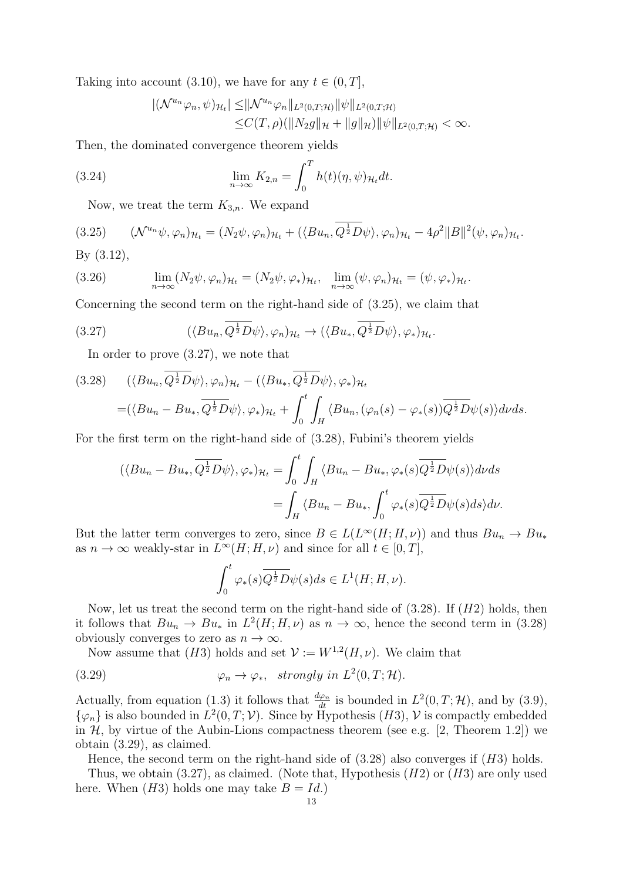Taking into account (3.10), we have for any  $t \in (0, T]$ ,

$$
\|(\mathcal{N}^{u_n}\varphi_n,\psi)_{\mathcal{H}_t}\| \leq \|\mathcal{N}^{u_n}\varphi_n\|_{L^2(0,T;\mathcal{H})} \|\psi\|_{L^2(0,T;\mathcal{H})}
$$
  
\n
$$
\leq C(T,\rho)(\|N_2g\|_{\mathcal{H}} + \|g\|_{\mathcal{H}}) \|\psi\|_{L^2(0,T;\mathcal{H})} < \infty.
$$

Then, the dominated convergence theorem yields

(3.24) 
$$
\lim_{n \to \infty} K_{2,n} = \int_0^T h(t)(\eta, \psi)_{\mathcal{H}_t} dt.
$$

Now, we treat the term  $K_{3,n}$ . We expand

(3.25) 
$$
(\mathcal{N}^{u_n}\psi, \varphi_n)_{\mathcal{H}_t} = (N_2\psi, \varphi_n)_{\mathcal{H}_t} + (\langle Bu_n, Q^{\frac{1}{2}}D\psi \rangle, \varphi_n)_{\mathcal{H}_t} - 4\rho^2 ||B||^2 (\psi, \varphi_n)_{\mathcal{H}_t}.
$$
  
By (3.12)

By (3.12),

(3.26) 
$$
\lim_{n\to\infty} (N_2\psi, \varphi_n)_{\mathcal{H}_t} = (N_2\psi, \varphi_*)_{\mathcal{H}_t}, \quad \lim_{n\to\infty} (\psi, \varphi_n)_{\mathcal{H}_t} = (\psi, \varphi_*)_{\mathcal{H}_t}.
$$

Concerning the second term on the right-hand side of (3.25), we claim that

(3.27) 
$$
(\langle Bu_n, \overline{Q^{\frac{1}{2}}D}\psi \rangle, \varphi_n)_{\mathcal{H}_t} \to (\langle Bu_*, \overline{Q^{\frac{1}{2}}D}\psi \rangle, \varphi_*)_{\mathcal{H}_t}.
$$

In order to prove (3.27), we note that

$$
(3.28) \quad (\langle Bu_n, \overline{Q^{\frac{1}{2}}D}\psi \rangle, \varphi_n)_{\mathcal{H}_t} - (\langle Bu_*, \overline{Q^{\frac{1}{2}}D}\psi \rangle, \varphi_*)_{\mathcal{H}_t}
$$
  

$$
= (\langle Bu_n - Bu_*, \overline{Q^{\frac{1}{2}}D}\psi \rangle, \varphi_*)_{\mathcal{H}_t} + \int_0^t \int_H \langle Bu_n, (\varphi_n(s) - \varphi_*(s)) \overline{Q^{\frac{1}{2}}D}\psi(s) \rangle d\nu ds.
$$

For the first term on the right-hand side of (3.28), Fubini's theorem yields

$$
\langle \langle Bu_n - Bu_*, \overline{Q^{\frac{1}{2}}D}\psi \rangle, \varphi_* \rangle_{\mathcal{H}_t} = \int_0^t \int_H \langle Bu_n - Bu_*, \varphi_* (s) \overline{Q^{\frac{1}{2}}D}\psi(s) \rangle d\nu ds
$$
  
= 
$$
\int_H \langle Bu_n - Bu_*, \int_0^t \varphi_* (s) \overline{Q^{\frac{1}{2}}D}\psi(s) ds \rangle d\nu.
$$

But the latter term converges to zero, since  $B \in L(L^{\infty}(H; H, \nu))$  and thus  $Bu_n \to Bu_*$ as  $n \to \infty$  weakly-star in  $L^{\infty}(H; H, \nu)$  and since for all  $t \in [0, T]$ ,

$$
\int_0^t \varphi_*(s) \overline{Q^{\frac{1}{2}} D} \psi(s) ds \in L^1(H; H, \nu).
$$

Now, let us treat the second term on the right-hand side of  $(3.28)$ . If  $(H2)$  holds, then it follows that  $Bu_n \to Bu_*$  in  $L^2(H; H, \nu)$  as  $n \to \infty$ , hence the second term in (3.28) obviously converges to zero as  $n \to \infty$ .

Now assume that (H3) holds and set  $\mathcal{V} := W^{1,2}(H,\nu)$ . We claim that

(3.29) 
$$
\varphi_n \to \varphi_*, \ \ strongly \ in \ L^2(0,T;\mathcal{H}).
$$

Actually, from equation (1.3) it follows that  $\frac{d\varphi_n}{dt}$  is bounded in  $L^2(0,T;\mathcal{H})$ , and by (3.9),  $\{\varphi_n\}$  is also bounded in  $L^2(0,T;\mathcal{V})$ . Since by Hypothesis  $(H3)$ ,  $\mathcal V$  is compactly embedded in  $H$ , by virtue of the Aubin-Lions compactness theorem (see e.g. [2, Theorem 1.2]) we obtain (3.29), as claimed.

Hence, the second term on the right-hand side of  $(3.28)$  also converges if  $(H3)$  holds.

Thus, we obtain  $(3.27)$ , as claimed. (Note that, Hypothesis  $(H2)$  or  $(H3)$  are only used here. When  $(H3)$  holds one may take  $B = Id.$ )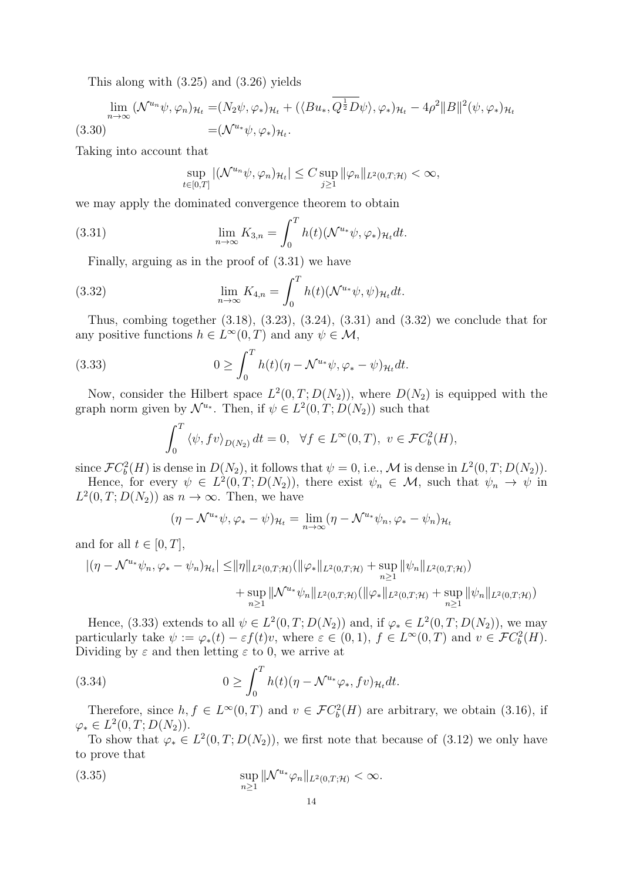This along with (3.25) and (3.26) yields

$$
\lim_{n \to \infty} (\mathcal{N}^{u_n} \psi, \varphi_n)_{\mathcal{H}_t} = (N_2 \psi, \varphi_*)_{\mathcal{H}_t} + (\langle Bu_*, Q^{\frac{1}{2}} D\psi \rangle, \varphi_*)_{\mathcal{H}_t} - 4\rho^2 \|B\|^2 (\psi, \varphi_*)_{\mathcal{H}_t}
$$
\n
$$
= (\mathcal{N}^{u_*} \psi, \varphi_*)_{\mathcal{H}_t}.
$$
\n(3.30)

Taking into account that

$$
\sup_{t\in[0,T]}|(\mathcal{N}^{u_n}\psi,\varphi_n)_{\mathcal{H}_t}|\leq C\sup_{j\geq 1}\|\varphi_n\|_{L^2(0,T;\mathcal{H})}<\infty,
$$

we may apply the dominated convergence theorem to obtain

(3.31) 
$$
\lim_{n \to \infty} K_{3,n} = \int_0^T h(t) (\mathcal{N}^{u_*} \psi, \varphi_*)_{\mathcal{H}_t} dt.
$$

Finally, arguing as in the proof of (3.31) we have

(3.32) 
$$
\lim_{n \to \infty} K_{4,n} = \int_0^T h(t) (\mathcal{N}^{u_*} \psi, \psi)_{\mathcal{H}_t} dt.
$$

Thus, combing together (3.18), (3.23), (3.24), (3.31) and (3.32) we conclude that for any positive functions  $h \in L^{\infty}(0,T)$  and any  $\psi \in \mathcal{M}$ ,

(3.33) 
$$
0 \geq \int_0^T h(t)(\eta - \mathcal{N}^{u_*}\psi, \varphi_* - \psi)_{\mathcal{H}_t} dt.
$$

Now, consider the Hilbert space  $L^2(0,T;D(N_2))$ , where  $D(N_2)$  is equipped with the graph norm given by  $\mathcal{N}^{u_*}$ . Then, if  $\psi \in L^2(0,T;D(N_2))$  such that

$$
\int_0^T \left\langle \psi, f v \right\rangle_{D(N_2)} dt = 0, \quad \forall f \in L^\infty(0, T), \ v \in \mathcal{F}C_b^2(H),
$$

since  $\mathcal{F}C_b^2(H)$  is dense in  $D(N_2)$ , it follows that  $\psi = 0$ , i.e., M is dense in  $L^2(0,T;D(N_2))$ .

Hence, for every  $\psi \in L^2(0,T;D(N_2))$ , there exist  $\psi_n \in \mathcal{M}$ , such that  $\psi_n \to \psi$  in  $L^2(0,T;D(N_2))$  as  $n \to \infty$ . Then, we have

$$
(\eta - \mathcal{N}^{u*}\psi, \varphi_* - \psi)_{\mathcal{H}_t} = \lim_{n \to \infty} (\eta - \mathcal{N}^{u*}\psi_n, \varphi_* - \psi_n)_{\mathcal{H}_t}
$$

and for all  $t \in [0, T]$ ,

$$
\begin{aligned} |(\eta - \mathcal{N}^{u*} \psi_n, \varphi_* - \psi_n)_{\mathcal{H}_t}| \leq & \|\eta\|_{L^2(0,T;\mathcal{H})} (\|\varphi_*\|_{L^2(0,T;\mathcal{H})} + \sup_{n \geq 1} \|\psi_n\|_{L^2(0,T;\mathcal{H})}) \\ & + \sup_{n \geq 1} \|\mathcal{N}^{u*} \psi_n\|_{L^2(0,T;\mathcal{H})} (\|\varphi_*\|_{L^2(0,T;\mathcal{H})} + \sup_{n \geq 1} \|\psi_n\|_{L^2(0,T;\mathcal{H})}) \end{aligned}
$$

Hence, (3.33) extends to all  $\psi \in L^2(0,T;D(N_2))$  and, if  $\varphi_* \in L^2(0,T;D(N_2))$ , we may particularly take  $\psi := \varphi_*(t) - \varepsilon f(t)v$ , where  $\varepsilon \in (0,1)$ ,  $f \in L^{\infty}(0,T)$  and  $v \in \mathcal{F}C_b^2(H)$ . Dividing by  $\varepsilon$  and then letting  $\varepsilon$  to 0, we arrive at

(3.34) 
$$
0 \geq \int_0^T h(t)(\eta - \mathcal{N}^{u_*}\varphi_*, fv)_{\mathcal{H}_t} dt.
$$

Therefore, since  $h, f \in L^{\infty}(0,T)$  and  $v \in \mathcal{F}C_b^2(H)$  are arbitrary, we obtain (3.16), if  $\varphi_* \in L^2(0,T;D(N_2)).$ 

To show that  $\varphi_* \in L^2(0,T;D(N_2))$ , we first note that because of (3.12) we only have to prove that

(3.35) 
$$
\sup_{n\geq 1} \|\mathcal{N}^{u_*}\varphi_n\|_{L^2(0,T;\mathcal{H})} < \infty.
$$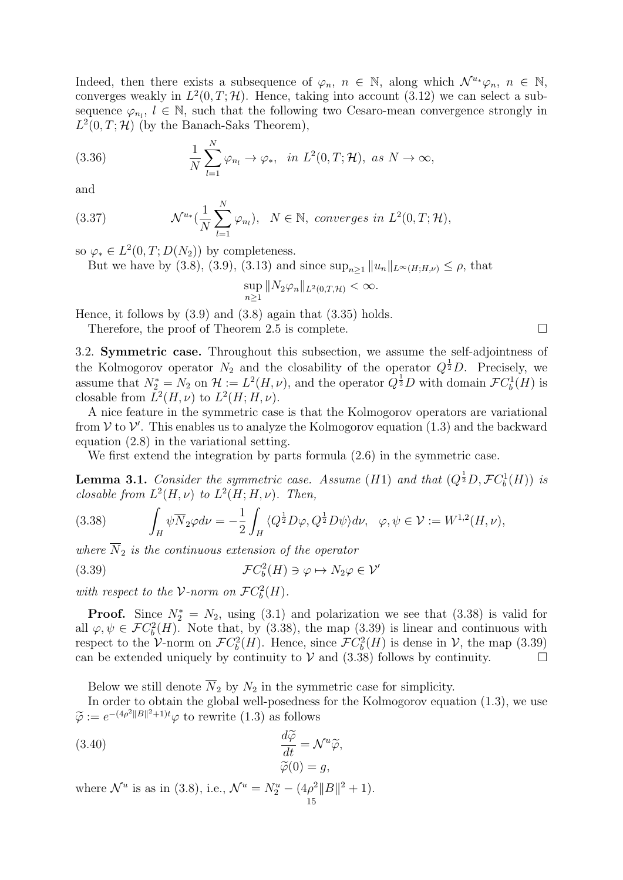Indeed, then there exists a subsequence of  $\varphi_n$ ,  $n \in \mathbb{N}$ , along which  $\mathcal{N}^{u_*}\varphi_n$ ,  $n \in \mathbb{N}$ , converges weakly in  $L^2(0,T;\mathcal{H})$ . Hence, taking into account (3.12) we can select a subsequence  $\varphi_{n_l}$ ,  $l \in \mathbb{N}$ , such that the following two Cesaro-mean convergence strongly in  $L^2(0,T;\mathcal{H})$  (by the Banach-Saks Theorem),

(3.36) 
$$
\frac{1}{N} \sum_{l=1}^{N} \varphi_{n_l} \to \varphi_*, \quad in \ L^2(0,T;\mathcal{H}), \ as \ N \to \infty,
$$

and

(3.37) 
$$
\mathcal{N}^{u_*}(\frac{1}{N}\sum_{l=1}^N \varphi_{n_l}), \ N \in \mathbb{N}, converges in L^2(0,T;\mathcal{H}),
$$

so  $\varphi_* \in L^2(0,T;D(N_2))$  by completeness.

But we have by (3.8), (3.9), (3.13) and since  $\sup_{n>1} ||u_n||_{L^{\infty}(H;H,\nu)} \leq \rho$ , that

$$
\sup_{n\geq 1} \|N_2\varphi_n\|_{L^2(0,T,\mathcal{H})} < \infty.
$$

Hence, it follows by  $(3.9)$  and  $(3.8)$  again that  $(3.35)$  holds.

Therefore, the proof of Theorem 2.5 is complete.  $\Box$ 

3.2. Symmetric case. Throughout this subsection, we assume the self-adjointness of the Kolmogorov operator  $N_2$  and the closability of the operator  $Q^{\frac{1}{2}}D$ . Precisely, we assume that  $N_2^* = N_2$  on  $\mathcal{H} := L^2(H, \nu)$ , and the operator  $Q^{\frac{1}{2}}D$  with domain  $\mathcal{F}C_b^1(H)$  is closable from  $L^2(H, \nu)$  to  $L^2(H; H, \nu)$ .

A nice feature in the symmetric case is that the Kolmogorov operators are variational from  $V$  to  $V'$ . This enables us to analyze the Kolmogorov equation  $(1.3)$  and the backward equation (2.8) in the variational setting.

We first extend the integration by parts formula (2.6) in the symmetric case.

**Lemma 3.1.** Consider the symmetric case. Assume (H1) and that  $(Q^{\frac{1}{2}}D, \mathcal{F}C_b^1(H))$  is closable from  $L^2(H,\nu)$  to  $L^2(H;H,\nu)$ . Then,

(3.38) 
$$
\int_H \psi \overline{N}_2 \varphi d\nu = -\frac{1}{2} \int_H \langle Q^{\frac{1}{2}} D\varphi, Q^{\frac{1}{2}} D\psi \rangle d\nu, \quad \varphi, \psi \in \mathcal{V} := W^{1,2}(H, \nu),
$$

where  $\overline{N}_2$  is the continuous extension of the operator

(3.39) 
$$
\mathcal{F}C_b^2(H) \ni \varphi \mapsto N_2\varphi \in \mathcal{V}'
$$

with respect to the V-norm on  $\mathcal{F}C_b^2(H)$ .

**Proof.** Since  $N_2^* = N_2$ , using (3.1) and polarization we see that (3.38) is valid for all  $\varphi, \psi \in \mathcal{F}C_b^2(H)$ . Note that, by (3.38), the map (3.39) is linear and continuous with respect to the V-norm on  $\mathcal{F}C_b^2(H)$ . Hence, since  $\mathcal{F}C_b^2(H)$  is dense in V, the map (3.39) can be extended uniquely by continuity to  $V$  and (3.38) follows by continuity.

Below we still denote  $\overline{N}_2$  by  $N_2$  in the symmetric case for simplicity.

In order to obtain the global well-posedness for the Kolmogorov equation (1.3), we use  $\widetilde{\varphi} := e^{-(4\rho^2||B||^2+1)t} \varphi$  to rewrite (1.3) as follows

(3.40) 
$$
\frac{d\widetilde{\varphi}}{dt} = \mathcal{N}^u \widetilde{\varphi},
$$

$$
\widetilde{\varphi}(0) = g,
$$

where  $\mathcal{N}^u$  is as in (3.8), i.e.,  $\mathcal{N}^u = N_2^u - (4\rho^2 ||B||^2 + 1)$ . 15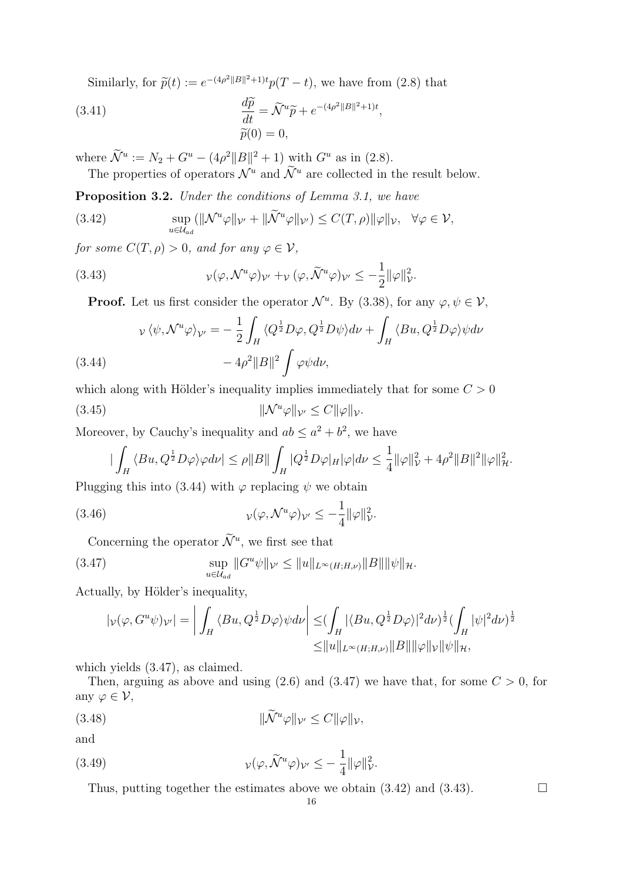Similarly, for  $\tilde{p}(t) := e^{-(4\rho^2||B||^2+1)t} p(T-t)$ , we have from (2.8) that

(3.41) 
$$
\frac{d\widetilde{p}}{dt} = \widetilde{\mathcal{N}}^u \widetilde{p} + e^{-(4\rho^2 ||B||^2 + 1)t},
$$

$$
\widetilde{p}(0) = 0,
$$

where  $\widetilde{\mathcal{N}}^u := N_2 + G^u - (4\rho^2 \|B\|^2 + 1)$  with  $G^u$  as in (2.8).

The properties of operators  $\mathcal{N}^u$  and  $\mathcal{\widetilde{N}}^u$  are collected in the result below.

Proposition 3.2. Under the conditions of Lemma 3.1, we have

(3.42) 
$$
\sup_{u \in \mathcal{U}_{ad}} (\|\mathcal{N}^u \varphi\|_{\mathcal{V}'} + \|\widetilde{\mathcal{N}}^u \varphi\|_{\mathcal{V}'}) \leq C(T, \rho) \|\varphi\|_{\mathcal{V}}, \quad \forall \varphi \in \mathcal{V},
$$

for some  $C(T, \rho) > 0$ , and for any  $\varphi \in \mathcal{V}$ ,

(3.43) 
$$
\nu(\varphi, \mathcal{N}^u \varphi)_{\mathcal{V}'} + \nu (\varphi, \tilde{\mathcal{N}}^u \varphi)_{\mathcal{V}'} \leq -\frac{1}{2} ||\varphi||^2_{\mathcal{V}}.
$$

**Proof.** Let us first consider the operator  $\mathcal{N}^u$ . By (3.38), for any  $\varphi, \psi \in \mathcal{V}$ ,

$$
\nu \langle \psi, \mathcal{N}^u \varphi \rangle_{\mathcal{V}'} = -\frac{1}{2} \int_H \langle Q^{\frac{1}{2}} D\varphi, Q^{\frac{1}{2}} D\psi \rangle d\nu + \int_H \langle Bu, Q^{\frac{1}{2}} D\varphi \rangle \psi d\nu
$$
\n(3.44)\n
$$
-4\rho^2 \|B\|^2 \int \varphi \psi d\nu,
$$

which along with Hölder's inequality implies immediately that for some  $C > 0$ (3.45)  $\|\mathcal{N}^u\varphi\|_{\mathcal{V}'} \leq C\|\varphi\|_{\mathcal{V}}.$ 

Moreover, by Cauchy's inequality and  $ab \le a^2 + b^2$ , we have

$$
|\int_H \langle Bu, Q^{\frac{1}{2}} D\varphi \rangle \varphi d\nu| \le \rho ||B|| \int_H |Q^{\frac{1}{2}} D\varphi|_H |\varphi| d\nu \le \frac{1}{4} ||\varphi||^2_{\mathcal{V}} + 4\rho^2 ||B||^2 ||\varphi||^2_{\mathcal{H}}.
$$

Plugging this into (3.44) with  $\varphi$  replacing  $\psi$  we obtain

(3.46) 
$$
\nu(\varphi, \mathcal{N}^u \varphi)_{\mathcal{V}'} \leq -\frac{1}{4} ||\varphi||^2_{\mathcal{V}}.
$$

Concerning the operator  $\mathcal{N}^u$ , we first see that

(3.47) 
$$
\sup_{u \in \mathcal{U}_{ad}} \|G^u \psi\|_{\mathcal{V}'} \le \|u\|_{L^{\infty}(H;H,\nu)} \|B\| \|\psi\|_{\mathcal{H}}.
$$

Actually, by Hölder's inequality,

$$
|\nu(\varphi, G^u \psi)\nu| = \left| \int_H \langle Bu, Q^{\frac{1}{2}} D\varphi \rangle \psi d\nu \right| \leq \left( \int_H |\langle Bu, Q^{\frac{1}{2}} D\varphi \rangle|^2 d\nu \right)^{\frac{1}{2}} \left( \int_H |\psi|^2 d\nu \right)^{\frac{1}{2}}
$$
  

$$
\leq ||u||_{L^{\infty}(H;H,\nu)} ||B||||\varphi||_{\mathcal{V}} ||\psi||_{\mathcal{H}},
$$

which yields (3.47), as claimed.

Then, arguing as above and using  $(2.6)$  and  $(3.47)$  we have that, for some  $C > 0$ , for any  $\varphi \in \mathcal{V}$ ,

$$
||\widetilde{\mathcal{N}}^u\varphi||_{\mathcal{V}'} \le C ||\varphi||_{\mathcal{V}},
$$

and

(3.49) 
$$
\nu(\varphi, \widetilde{\mathcal{N}}^u \varphi) \nu' \leq -\frac{1}{4} ||\varphi||^2_{\mathcal{V}}.
$$

Thus, putting together the estimates above we obtain  $(3.42)$  and  $(3.43)$ .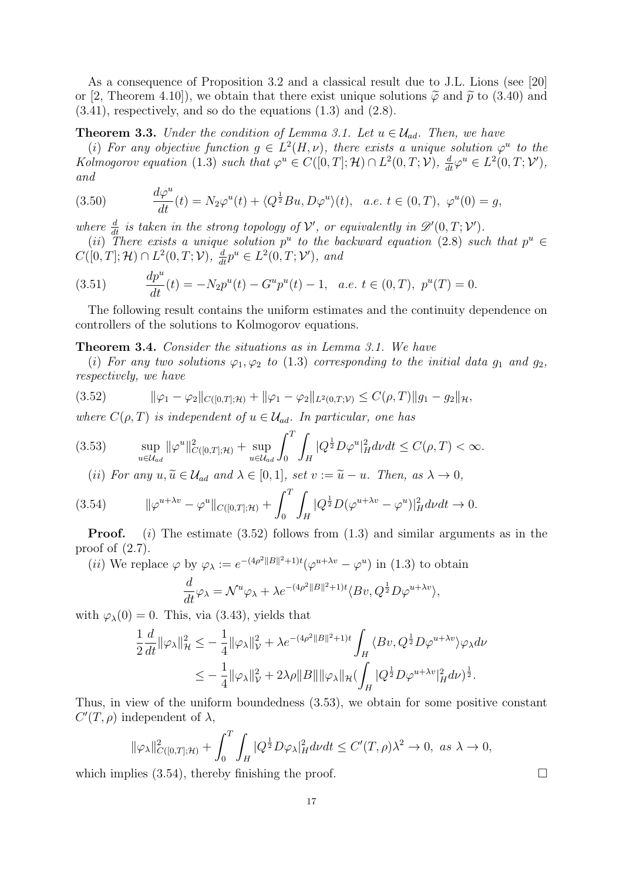As a consequence of Proposition 3.2 and a classical result due to J.L. Lions (see [20] or [2, Theorem 4.10]), we obtain that there exist unique solutions  $\tilde{\varphi}$  and  $\tilde{p}$  to (3.40) and  $(3.41)$ , respectively, and so do the equations  $(1.3)$  and  $(2.8)$ .

**Theorem 3.3.** Under the condition of Lemma 3.1. Let  $u \in \mathcal{U}_{ad}$ . Then, we have

(i) For any objective function  $g \in L^2(H,\nu)$ , there exists a unique solution  $\varphi^u$  to the Kolmogorov equation (1.3) such that  $\varphi^u \in C([0,T]; \mathcal{H}) \cap L^2(0,T; \mathcal{V}), \frac{d}{dt} \varphi^u \in L^2(0,T; \mathcal{V}'),$ and

(3.50) 
$$
\frac{d\varphi^u}{dt}(t) = N_2 \varphi^u(t) + \langle Q^{\frac{1}{2}}Bu, D\varphi^u \rangle(t), \quad a.e. \ t \in (0, T), \ \varphi^u(0) = g,
$$

where  $\frac{d}{dt}$  is taken in the strong topology of  $\mathcal{V}'$ , or equivalently in  $\mathscr{D}'(0,T;\mathcal{V}')$ .

(ii) There exists a unique solution  $p^u$  to the backward equation (2.8) such that  $p^u \in$  $C([0, T]; \mathcal{H}) \cap L^2(0, T; \mathcal{V}), \frac{d}{dt}p^u \in L^2(0, T; \mathcal{V}'),$  and

(3.51) 
$$
\frac{dp^u}{dt}(t) = -N_2 p^u(t) - G^u p^u(t) - 1, \quad a.e. \ t \in (0, T), \ p^u(T) = 0.
$$

The following result contains the uniform estimates and the continuity dependence on controllers of the solutions to Kolmogorov equations.

Theorem 3.4. Consider the situations as in Lemma 3.1. We have

(i) For any two solutions  $\varphi_1, \varphi_2$  to (1.3) corresponding to the initial data  $g_1$  and  $g_2$ , respectively, we have

$$
(3.52) \t\t ||\varphi_1 - \varphi_2||_{C([0,T];\mathcal{H})} + ||\varphi_1 - \varphi_2||_{L^2(0,T;\mathcal{V})} \leq C(\rho,T) ||g_1 - g_2||_{\mathcal{H}},
$$

where  $C(\rho, T)$  is independent of  $u \in \mathcal{U}_{ad}$ . In particular, one has

$$
(3.53) \qquad \sup_{u \in \mathcal{U}_{ad}} \|\varphi^u\|_{C([0,T];\mathcal{H})}^2 + \sup_{u \in \mathcal{U}_{ad}} \int_0^T \int_H |\bar{Q}^{\frac{1}{2}} D\varphi^u|_H^2 dv dt \le C(\rho, T) < \infty.
$$

(ii) For any  $u, \widetilde{u} \in \mathcal{U}_{ad}$  and  $\lambda \in [0, 1]$ , set  $v := \widetilde{u} - u$ . Then, as  $\lambda \to 0$ ,

$$
(3.54) \t ||\varphi^{u+\lambda v} - \varphi^u||_{C([0,T];\mathcal{H})} + \int_0^T \int_H |Q^{\frac{1}{2}}D(\varphi^{u+\lambda v} - \varphi^u)|_H^2 d\nu dt \to 0.
$$

**Proof.** (i) The estimate  $(3.52)$  follows from  $(1.3)$  and similar arguments as in the proof of  $(2.7)$ .

(*ii*) We replace  $\varphi$  by  $\varphi_{\lambda} := e^{-(4\rho^2||B||^2+1)t}(\varphi^{u+\lambda v} - \varphi^u)$  in (1.3) to obtain

$$
\frac{d}{dt}\varphi_{\lambda} = \mathcal{N}^{u}\varphi_{\lambda} + \lambda e^{-(4\rho^{2}||B||^{2}+1)t} \langle Bv, Q^{\frac{1}{2}}D\varphi^{u+\lambda v} \rangle,
$$

with  $\varphi_{\lambda}(0) = 0$ . This, via (3.43), yields that

$$
\frac{1}{2}\frac{d}{dt}\|\varphi_{\lambda}\|_{\mathcal{H}}^{2} \leq -\frac{1}{4}\|\varphi_{\lambda}\|_{\mathcal{V}}^{2} + \lambda e^{-(4\rho^{2}\|B\|^{2}+1)t} \int_{H} \langle Bv, Q^{\frac{1}{2}}D\varphi^{u+\lambda v}\rangle \varphi_{\lambda} d\nu
$$
  

$$
\leq -\frac{1}{4}\|\varphi_{\lambda}\|_{\mathcal{V}}^{2} + 2\lambda \rho \|B\| \|\varphi_{\lambda}\|_{\mathcal{H}} (\int_{H} |Q^{\frac{1}{2}}D\varphi^{u+\lambda v}|_{H}^{2} d\nu)^{\frac{1}{2}}.
$$

Thus, in view of the uniform boundedness (3.53), we obtain for some positive constant  $C'(T,\rho)$  independent of  $\lambda$ ,

$$
\|\varphi_{\lambda}\|_{C([0,T];\mathcal{H})}^2 + \int_0^T \int_H |\overline{Q^{\frac{1}{2}}D\varphi_{\lambda}|_H^2}d\nu dt \le C'(T,\rho)\lambda^2 \to 0, \text{ as } \lambda \to 0,
$$

which implies  $(3.54)$ , thereby finishing the proof.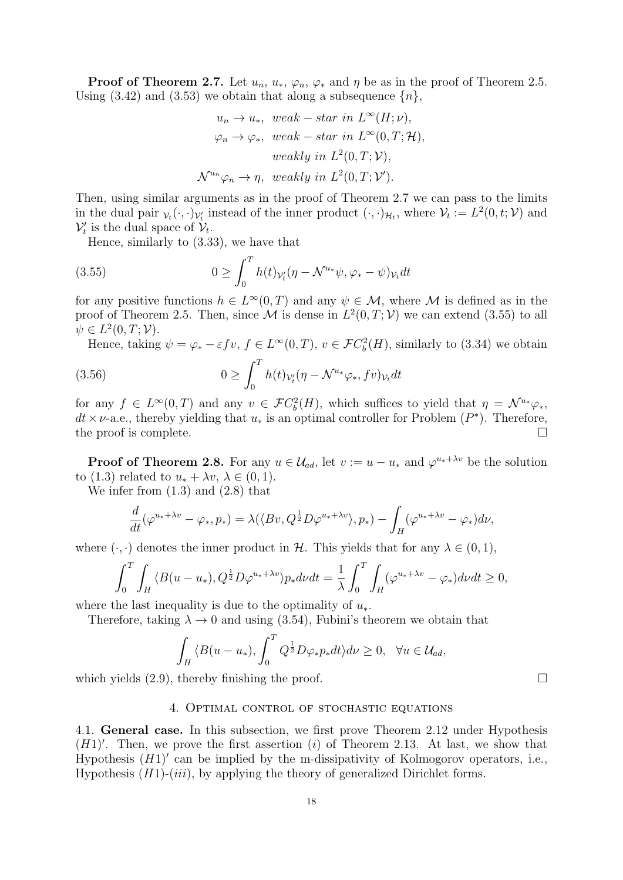**Proof of Theorem 2.7.** Let  $u_n$ ,  $u_*$ ,  $\varphi_n$ ,  $\varphi_*$  and  $\eta$  be as in the proof of Theorem 2.5. Using (3.42) and (3.53) we obtain that along a subsequence  $\{n\}$ ,

$$
u_n \to u_*, \quad \text{weak} - \text{star in } L^{\infty}(H; \nu),
$$
\n
$$
\varphi_n \to \varphi_*, \quad \text{weak} - \text{star in } L^{\infty}(0, T; \mathcal{H}),
$$
\n
$$
\text{weakly in } L^2(0, T; \mathcal{V}),
$$
\n
$$
\mathcal{N}^{u_n} \varphi_n \to \eta, \quad \text{weakly in } L^2(0, T; \mathcal{V}').
$$

Then, using similar arguments as in the proof of Theorem 2.7 we can pass to the limits in the dual pair  $v_t(\cdot, \cdot)v_t$  instead of the inner product  $(\cdot, \cdot)_{\mathcal{H}_t}$ , where  $\mathcal{V}_t := L^2(0, t; \mathcal{V})$  and  $\mathcal{V}'_t$  is the dual space of  $\mathcal{V}_t$ .

Hence, similarly to (3.33), we have that

(3.55) 
$$
0 \geq \int_0^T h(t)_{\mathcal{V}_t'}(\eta - \mathcal{N}^{u_*}\psi, \varphi_* - \psi)_{\mathcal{V}_t} dt
$$

for any positive functions  $h \in L^{\infty}(0,T)$  and any  $\psi \in M$ , where M is defined as in the proof of Theorem 2.5. Then, since M is dense in  $L^2(0,T; \mathcal{V})$  we can extend (3.55) to all  $\psi \in L^2(0,T; \mathcal{V}).$ 

Hence, taking  $\psi = \varphi_* - \varepsilon f v$ ,  $f \in L^{\infty}(0,T)$ ,  $v \in \mathcal{F}C_b^2(H)$ , similarly to (3.34) we obtain  $\int_0^T$ 

(3.56) 
$$
0 \geq \int_0^1 h(t)_{\mathcal{V}_t'}(\eta - \mathcal{N}^{u_*}\varphi_*, fv)_{\mathcal{V}_t} dt
$$

for any  $f \in L^{\infty}(0,T)$  and any  $v \in \mathcal{F}C_b^2(H)$ , which suffices to yield that  $\eta = \mathcal{N}^{u_*}\varphi_*,$  $dt \times \nu$ -a.e., thereby yielding that  $u_*$  is an optimal controller for Problem  $(P^*)$ . Therefore, the proof is complete.  $\Box$ 

**Proof of Theorem 2.8.** For any  $u \in \mathcal{U}_{ad}$ , let  $v := u - u_*$  and  $\varphi^{u_* + \lambda v}$  be the solution to (1.3) related to  $u_* + \lambda v, \lambda \in (0,1)$ .

We infer from (1.3) and (2.8) that

$$
\frac{d}{dt}(\varphi^{u_*+\lambda v}-\varphi_*,p_*)=\lambda(\langle Bv,Q^{\frac{1}{2}}D\varphi^{u_*+\lambda v}\rangle,p_*)-\int_H(\varphi^{u_*+\lambda v}-\varphi_*)d\nu,
$$

where  $(\cdot, \cdot)$  denotes the inner product in H. This yields that for any  $\lambda \in (0, 1)$ ,

$$
\int_0^T \int_H \langle B(u - u_*) , Q^{\frac{1}{2}} D\varphi^{u_* + \lambda v} \rangle p_* dv dt = \frac{1}{\lambda} \int_0^T \int_H (\varphi^{u_* + \lambda v} - \varphi_*) dv dt \ge 0,
$$

where the last inequality is due to the optimality of  $u_*$ .

Therefore, taking  $\lambda \to 0$  and using (3.54), Fubini's theorem we obtain that

$$
\int_H \langle B(u - u_*) , \int_0^T Q^{\frac{1}{2}} D\varphi_* p_* dt \rangle d\nu \ge 0, \quad \forall u \in \mathcal{U}_{ad},
$$

which yields  $(2.9)$ , thereby finishing the proof.

### 4. Optimal control of stochastic equations

4.1. General case. In this subsection, we first prove Theorem 2.12 under Hypothesis  $(H1)'$ . Then, we prove the first assertion  $(i)$  of Theorem 2.13. At last, we show that Hypothesis  $(H1)'$  can be implied by the m-dissipativity of Kolmogorov operators, i.e., Hypothesis  $(H1)-(iii)$ , by applying the theory of generalized Dirichlet forms.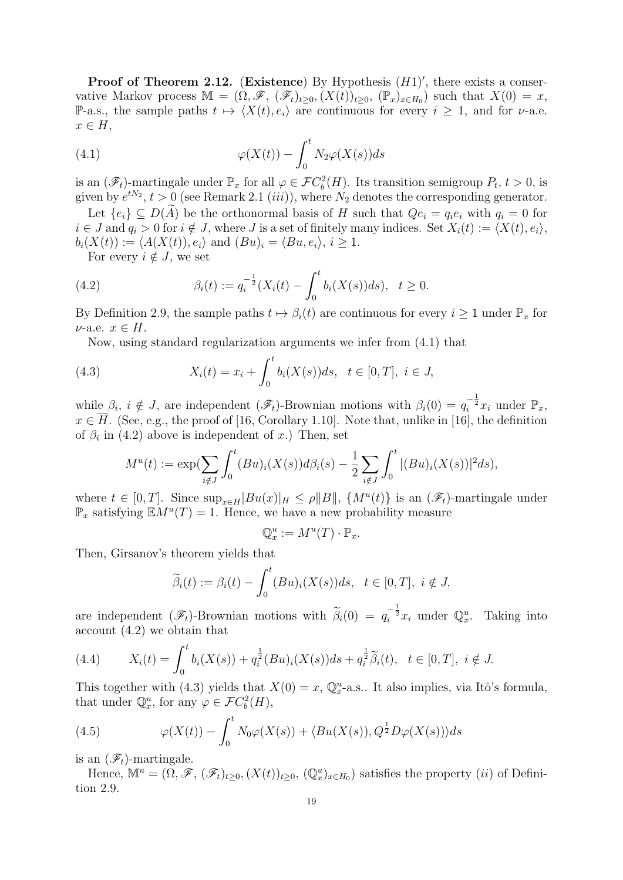**Proof of Theorem 2.12.** (Existence) By Hypothesis  $(H1)'$ , there exists a conservative Markov process  $\mathbb{M} = (\Omega, \mathscr{F}, (\mathscr{F}_t)_{t \geq 0}, (X(t))_{t \geq 0}, (\mathbb{P}_x)_{x \in H_0})$  such that  $X(0) = x$ , P-a.s., the sample paths  $t \mapsto \langle X(t), e_i \rangle$  are continuous for every  $i \geq 1$ , and for  $\nu$ -a.e.  $x \in H$ ,

(4.1) 
$$
\varphi(X(t)) - \int_0^t N_2 \varphi(X(s)) ds
$$

is an  $(\mathscr{F}_t)$ -martingale under  $\mathbb{P}_x$  for all  $\varphi \in \mathcal{F}C_b^2(H)$ . Its transition semigroup  $P_t$ ,  $t > 0$ , is given by  $e^{tN_2}$ ,  $t > 0$  (see Remark 2.1 *(iii))*, where  $N_2$  denotes the corresponding generator.

Let  $\{e_i\} \subseteq D(A)$  be the orthonormal basis of H such that  $Qe_i = q_i e_i$  with  $q_i = 0$  for  $i \in J$  and  $q_i > 0$  for  $i \notin J$ , where J is a set of finitely many indices. Set  $X_i(t) := \langle X(t), e_i \rangle$ ,  $b_i(X(t)) := \langle A(X(t)), e_i \rangle$  and  $(Bu)_i = \langle Bu, e_i \rangle, i \geq 1$ .

For every  $i \notin J$ , we set

(4.2) 
$$
\beta_i(t) := q_i^{-\frac{1}{2}} (X_i(t) - \int_0^t b_i(X(s)) ds), \quad t \ge 0.
$$

By Definition 2.9, the sample paths  $t \mapsto \beta_i(t)$  are continuous for every  $i \geq 1$  under  $\mathbb{P}_x$  for  $\nu$ -a.e.  $x \in H$ .

Now, using standard regularization arguments we infer from (4.1) that

(4.3) 
$$
X_i(t) = x_i + \int_0^t b_i(X(s))ds, \quad t \in [0, T], \quad i \in J,
$$

while  $\beta_i$ ,  $i \notin J$ , are independent  $(\mathscr{F}_t)$ -Brownian motions with  $\beta_i(0) = q_i^{-\frac{1}{2}} x_i$  under  $\mathbb{P}_x$ ,  $x \in \overline{H}$ . (See, e.g., the proof of [16, Corollary 1.10]. Note that, unlike in [16], the definition of  $\beta_i$  in (4.2) above is independent of x.) Then, set

$$
M^{u}(t) := \exp\left(\sum_{i \notin J} \int_{0}^{t} (Bu)_{i}(X(s))d\beta_{i}(s) - \frac{1}{2} \sum_{i \notin J} \int_{0}^{t} |(Bu)_{i}(X(s))|^{2} ds\right),
$$

where  $t \in [0, T]$ . Since  $\sup_{x \in H} |Bu(x)|_H \le \rho ||B||$ ,  $\{M^u(t)\}\$ is an  $(\mathscr{F}_t)$ -martingale under  $\mathbb{P}_x$  satisfying  $\mathbb{E}M^u(T)=1$ . Hence, we have a new probability measure

$$
\mathbb{Q}_x^u := M^u(T) \cdot \mathbb{P}_x.
$$

Then, Girsanov's theorem yields that

$$
\widetilde{\beta}_i(t) := \beta_i(t) - \int_0^t (Bu)_i(X(s))ds, \quad t \in [0, T], \ i \notin J,
$$

are independent  $(\mathscr{F}_t)$ -Brownian motions with  $\tilde{\beta}_i(0) = q_i^{-\frac{1}{2}} x_i$  under  $\mathbb{Q}_x^u$ . Taking into account (4.2) we obtain that

(4.4) 
$$
X_i(t) = \int_0^t b_i(X(s)) + q_i^{\frac{1}{2}}(Bu)_i(X(s))ds + q_i^{\frac{1}{2}}\widetilde{\beta}_i(t), \quad t \in [0, T], \quad i \notin J.
$$

This together with (4.3) yields that  $X(0) = x$ ,  $\mathbb{Q}_x^u$ -a.s.. It also implies, via Itô's formula, that under  $\mathbb{Q}_x^u$ , for any  $\varphi \in \mathcal{F}C_b^2(H)$ ,

(4.5) 
$$
\varphi(X(t)) - \int_0^t N_0 \varphi(X(s)) + \langle Bu(X(s)), Q^{\frac{1}{2}} D\varphi(X(s)) \rangle ds
$$

is an  $(\mathscr{F}_t)$ -martingale.

Hence,  $\mathbb{M}^u = (\tilde{\Omega}, \mathscr{F}, (\mathscr{F}_t)_{t \geq 0}, (X(t))_{t \geq 0}, (\mathbb{Q}_x^u)_{x \in H_0})$  satisfies the property  $(ii)$  of Definition 2.9.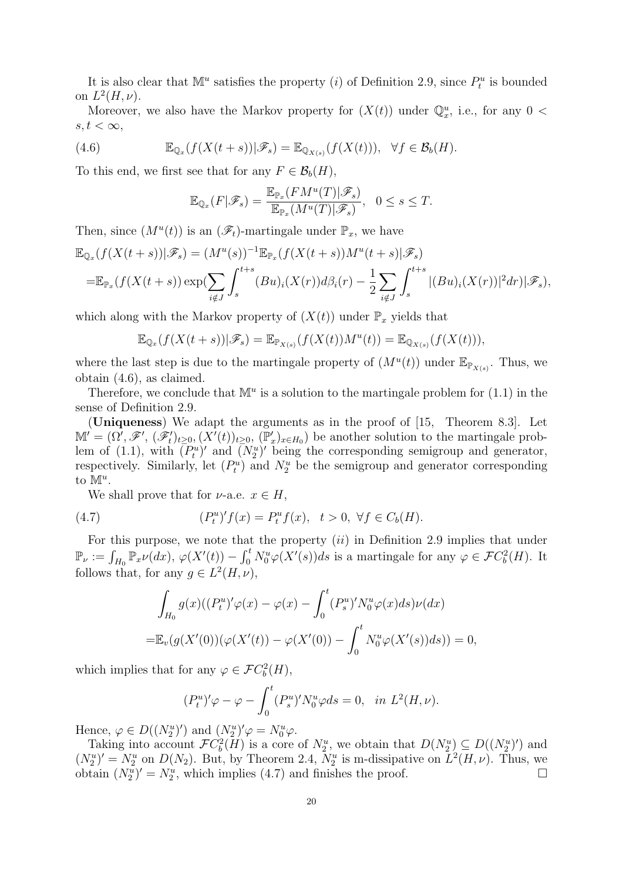It is also clear that  $\mathbb{M}^u$  satisfies the property (*i*) of Definition 2.9, since  $P_t^u$  is bounded on  $L^2(H,\nu)$ .

Moreover, we also have the Markov property for  $(X(t))$  under  $\mathbb{Q}_x^u$ , i.e., for any  $0 <$  $s, t < \infty$ ,

(4.6) 
$$
\mathbb{E}_{\mathbb{Q}_x}(f(X(t+s))|\mathscr{F}_s) = \mathbb{E}_{\mathbb{Q}_{X(s)}}(f(X(t))), \quad \forall f \in \mathcal{B}_b(H).
$$

To this end, we first see that for any  $F \in \mathcal{B}_b(H)$ ,

$$
\mathbb{E}_{\mathbb{Q}_x}(F|\mathscr{F}_s) = \frac{\mathbb{E}_{\mathbb{P}_x}(FM^u(T)|\mathscr{F}_s)}{\mathbb{E}_{\mathbb{P}_x}(M^u(T)|\mathscr{F}_s)}, \quad 0 \le s \le T.
$$

Then, since  $(M^u(t))$  is an  $(\mathscr{F}_t)$ -martingale under  $\mathbb{P}_x$ , we have

$$
\mathbb{E}_{\mathbb{Q}_x}(f(X(t+s))|\mathscr{F}_s) = (M^u(s))^{-1} \mathbb{E}_{\mathbb{P}_x}(f(X(t+s))M^u(t+s)|\mathscr{F}_s)
$$
  
= 
$$
\mathbb{E}_{\mathbb{P}_x}(f(X(t+s))\exp(\sum_{i \notin J}\int_s^{t+s}(Bu)_i(X(r))d\beta_i(r) - \frac{1}{2}\sum_{i \notin J}\int_s^{t+s}|(Bu)_i(X(r))|^2dr)|\mathscr{F}_s),
$$

which along with the Markov property of  $(X(t))$  under  $\mathbb{P}_x$  yields that

$$
\mathbb{E}_{\mathbb{Q}_x}(f(X(t+s))|\mathscr{F}_s) = \mathbb{E}_{\mathbb{P}_{X(s)}}(f(X(t))M^u(t)) = \mathbb{E}_{\mathbb{Q}_{X(s)}}(f(X(t))),
$$

where the last step is due to the martingale property of  $(M^u(t))$  under  $\mathbb{E}_{\mathbb{P}_{X(s)}}$ . Thus, we obtain (4.6), as claimed.

Therefore, we conclude that  $\mathbb{M}^u$  is a solution to the martingale problem for (1.1) in the sense of Definition 2.9.

(Uniqueness) We adapt the arguments as in the proof of [15, Theorem 8.3]. Let  $\mathbb{M}' = (\Omega', \mathscr{F}', (\mathscr{F}'_t)_{t \geq 0}, (X'(t))_{t \geq 0}, (\mathbb{P}'_x)_{x \in H_0})$  be another solution to the martingale problem of (1.1), with  $(P_t^u)'$  and  $(N_2^u)'$  being the corresponding semigroup and generator, respectively. Similarly, let  $(P_t^u)$  and  $N_2^u$  be the semigroup and generator corresponding to  $\mathbb{M}^u$ .

We shall prove that for  $\nu$ -a.e.  $x \in H$ ,

(4.7) 
$$
(P_t^u)'f(x) = P_t^u f(x), \quad t > 0, \ \forall f \in C_b(H).
$$

For this purpose, we note that the property  $(ii)$  in Definition 2.9 implies that under  $\mathbb{P}_{\nu} := \int_{H_0} \mathbb{P}_x \nu(dx), \ \varphi(X'(t)) - \int_0^t N_0^u \varphi(X'(s))ds$  is a martingale for any  $\varphi \in \mathcal{F}C_b^2(H)$ . It follows that, for any  $g \in L^2(H, \nu)$ ,

$$
\int_{H_0} g(x)((P_t^u)' \varphi(x) - \varphi(x) - \int_0^t (P_s^u)' N_0^u \varphi(x) ds) \nu(dx)
$$
  
=  $\mathbb{E}_v(g(X'(0))(\varphi(X'(t)) - \varphi(X'(0)) - \int_0^t N_0^u \varphi(X'(s)) ds)) = 0,$ 

which implies that for any  $\varphi \in \mathcal{F}C_b^2(H)$ ,

$$
(P_t^u)' \varphi - \varphi - \int_0^t (P_s^u)' N_0^u \varphi ds = 0, \quad \text{in } L^2(H, \nu).
$$

Hence,  $\varphi \in D((N_2^u)')$  and  $(N_2^u)' \varphi = N_0^u \varphi$ .

Taking into account  $\mathcal{F}C_b^2(H)$  is a core of  $N_2^u$ , we obtain that  $D(N_2^u) \subseteq D((N_2^u)')$  and  $(N_2^u)' = N_2^u$  on  $D(N_2)$ . But, by Theorem 2.4,  $N_2^u$  is m-dissipative on  $L^2(H, \nu)$ . Thus, we obtain  $(N_2^u)' = N_2^u$ , which implies (4.7) and finishes the proof.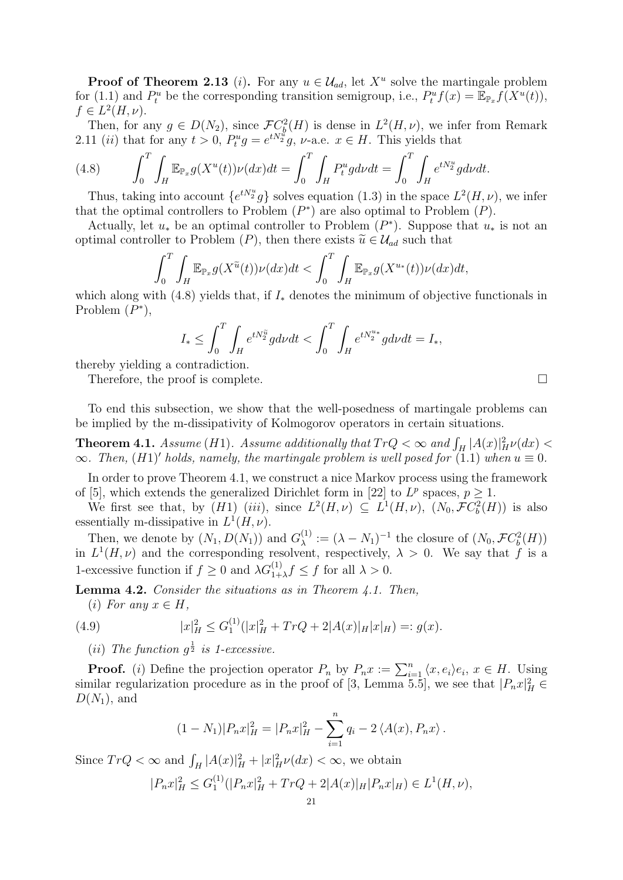**Proof of Theorem 2.13** (*i*). For any  $u \in \mathcal{U}_{ad}$ , let  $X^u$  solve the martingale problem for (1.1) and  $P_t^u$  be the corresponding transition semigroup, i.e.,  $P_t^u f(x) = \mathbb{E}_{\mathbb{P}_x} f(X^u(t)),$  $f \in L^2(H, \nu).$ 

Then, for any  $g \in D(N_2)$ , since  $\mathcal{F}C_b^2(H)$  is dense in  $L^2(H,\nu)$ , we infer from Remark 2.11 *(ii)* that for any  $t > 0$ ,  $P_t^u g = e^{tN_2^u} g$ ,  $\nu$ -a.e.  $x \in H$ . This yields that

(4.8) 
$$
\int_0^T \int_H \mathbb{E}_{\mathbb{P}_x} g(X^u(t)) \nu(dx) dt = \int_0^T \int_H P_t^u g d\nu dt = \int_0^T \int_H e^{tN_2^u} g d\nu dt.
$$

Thus, taking into account  $\{e^{tN_2^u}g\}$  solves equation (1.3) in the space  $L^2(H,\nu)$ , we infer that the optimal controllers to Problem  $(P^*)$  are also optimal to Problem  $(P)$ .

Actually, let  $u_*$  be an optimal controller to Problem  $(P^*)$ . Suppose that  $u_*$  is not an optimal controller to Problem (P), then there exists  $\tilde{u} \in \mathcal{U}_{ad}$  such that

$$
\int_0^T \int_H \mathbb{E}_{\mathbb{P}_x} g(X^{\widetilde{u}}(t)) \nu(dx) dt < \int_0^T \int_H \mathbb{E}_{\mathbb{P}_x} g(X^{u_*}(t)) \nu(dx) dt,
$$

which along with (4.8) yields that, if  $I_*$  denotes the minimum of objective functionals in Problem  $(P^*),$ 

$$
I_*\leq \int_0^T\int_H e^{tN_2^{\widetilde{u}}}gd\nu dt<\int_0^T\int_H e^{tN_2^{u*}}gd\nu dt=I_*,
$$

thereby yielding a contradiction.

Therefore, the proof is complete.

To end this subsection, we show that the well-posedness of martingale problems can be implied by the m-dissipativity of Kolmogorov operators in certain situations.

**Theorem 4.1.** Assume (H1). Assume additionally that  $TrQ < \infty$  and  $\int_H |A(x)|^2_H \nu(dx)$  $\infty$ . Then, (H1)' holds, namely, the martingale problem is well posed for (1.1) when  $u \equiv 0$ .

In order to prove Theorem 4.1, we construct a nice Markov process using the framework of [5], which extends the generalized Dirichlet form in [22] to  $L^p$  spaces,  $p \geq 1$ .

We first see that, by (H1) (iii), since  $L^2(H,\nu) \subseteq L^1(H,\nu)$ ,  $(N_0, \mathcal{F}C_b^2(H))$  is also essentially m-dissipative in  $L^1(H, \nu)$ .

Then, we denote by  $(N_1, D(N_1))$  and  $G_{\lambda}^{(1)}$  $\lambda^{(1)} := (\lambda - N_1)^{-1}$  the closure of  $(N_0, \mathcal{F} C_b^2(H))$ in  $L^1(H,\nu)$  and the corresponding resolvent, respectively,  $\lambda > 0$ . We say that f is a 1-excessive function if  $f \geq 0$  and  $\lambda G_{1+\lambda}^{(1)} f \leq f$  for all  $\lambda > 0$ .

Lemma 4.2. Consider the situations as in Theorem 4.1. Then,

(i) For any  $x \in H$ ,

(4.9) 
$$
|x|_H^2 \leq G_1^{(1)}(|x|_H^2 + TrQ + 2|A(x)|_H|x|_H) =: g(x).
$$

(*ii*) The function  $g^{\frac{1}{2}}$  is 1-excessive.

**Proof.** (i) Define the projection operator  $P_n$  by  $P_n x := \sum_{i=1}^n \langle x, e_i \rangle e_i, x \in H$ . Using similar regularization procedure as in the proof of [3, Lemma 5.5], we see that  $|P_n x|_H^2 \in$  $D(N_1)$ , and

$$
(1 - N_1)|P_n x|_H^2 = |P_n x|_H^2 - \sum_{i=1}^n q_i - 2 \langle A(x), P_n x \rangle.
$$

Since  $TrQ < \infty$  and  $\int_H |A(x)|_H^2 + |x|_H^2 \nu(dx) < \infty$ , we obtain

$$
|P_nx|_H^2 \le G_1^{(1)}(|P_nx|_H^2 + TrQ + 2|A(x)|_H |P_nx|_H) \in L^1(H, \nu),
$$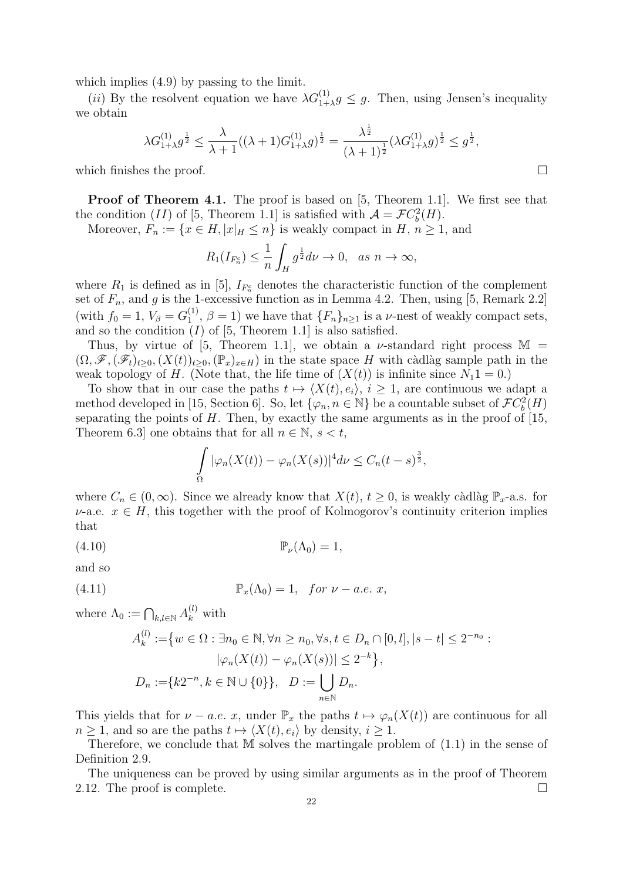which implies  $(4.9)$  by passing to the limit.

(*ii*) By the resolvent equation we have  $\lambda G_{1+\lambda}^{(1)} g \leq g$ . Then, using Jensen's inequality we obtain

$$
\lambda G_{1+\lambda}^{(1)} g^{\frac{1}{2}} \leq \frac{\lambda}{\lambda+1} ((\lambda+1)G_{1+\lambda}^{(1)} g)^{\frac{1}{2}} = \frac{\lambda^{\frac{1}{2}}}{(\lambda+1)^{\frac{1}{2}}} (\lambda G_{1+\lambda}^{(1)} g)^{\frac{1}{2}} \leq g^{\frac{1}{2}},
$$

which finishes the proof.  $\Box$ 

**Proof of Theorem 4.1.** The proof is based on [5, Theorem 1.1]. We first see that the condition (*II*) of [5, Theorem 1.1] is satisfied with  $A = \mathcal{F}C_b^2(H)$ .

Moreover,  $F_n := \{x \in H, |x|_H \le n\}$  is weakly compact in  $H, n \ge 1$ , and

$$
R_1(I_{F_n^c}) \leq \frac{1}{n} \int_H g^{\frac{1}{2}} d\nu \to 0, \text{ as } n \to \infty,
$$

where  $R_1$  is defined as in [5],  $I_{F_n^c}$  denotes the characteristic function of the complement set of  $F_n$ , and g is the 1-excessive function as in Lemma 4.2. Then, using [5, Remark 2.2] (with  $f_0 = 1, V_\beta = G_1^{(1)}$  $\binom{11}{1}, \beta = 1$ ) we have that  $\{F_n\}_{n \geq 1}$  is a *v*-nest of weakly compact sets, and so the condition  $(I)$  of [5, Theorem 1.1] is also satisfied.

Thus, by virtue of [5, Theorem 1.1], we obtain a  $\nu$ -standard right process M =  $(\Omega, \mathscr{F},(\mathscr{F}_t)_{t>0},(X(t))_{t>0},(\mathbb{P}_x)_{x\in H})$  in the state space H with càdlàg sample path in the weak topology of H. (Note that, the life time of  $(X(t))$  is infinite since  $N_11 = 0$ .)

To show that in our case the paths  $t \mapsto \langle X(t), e_i \rangle$ ,  $i \geq 1$ , are continuous we adapt a method developed in [15, Section 6]. So, let  $\{\varphi_n, n \in \mathbb{N}\}\)$  be a countable subset of  $\mathcal{F}C_b^2(H)$ separating the points of  $H$ . Then, by exactly the same arguments as in the proof of [15, Theorem 6.3] one obtains that for all  $n \in \mathbb{N}$ ,  $s < t$ ,

$$
\int_{\Omega} |\varphi_n(X(t)) - \varphi_n(X(s))|^4 d\nu \leq C_n (t-s)^{\frac{3}{2}},
$$

where  $C_n \in (0,\infty)$ . Since we already know that  $X(t)$ ,  $t \geq 0$ , is weakly càdlàg  $\mathbb{P}_x$ -a.s. for  $\nu$ -a.e.  $x \in H$ , this together with the proof of Kolmogorov's continuity criterion implies that

(4.10) Pν(Λ0) = 1,

and so

(4.11) 
$$
\mathbb{P}_x(\Lambda_0) = 1, \quad \text{for } \nu - a.e. \ x,
$$

where  $\Lambda_0 := \bigcap_{k,l \in \mathbb{N}} A_k^{(l)}$  with

$$
A_k^{(l)} := \{ w \in \Omega : \exists n_0 \in \mathbb{N}, \forall n \ge n_0, \forall s, t \in D_n \cap [0, l], |s - t| \le 2^{-n_0} : |\varphi_n(X(t)) - \varphi_n(X(s))| \le 2^{-k} \},
$$
  

$$
D_n := \{ k2^{-n}, k \in \mathbb{N} \cup \{0\} \}, \quad D := \bigcup_{n \in \mathbb{N}} D_n.
$$

This yields that for  $\nu - a.e.$  x, under  $\mathbb{P}_x$  the paths  $t \mapsto \varphi_n(X(t))$  are continuous for all  $n \geq 1$ , and so are the paths  $t \mapsto \langle X(t), e_i \rangle$  by density,  $i \geq 1$ .

Therefore, we conclude that M solves the martingale problem of (1.1) in the sense of Definition 2.9.

The uniqueness can be proved by using similar arguments as in the proof of Theorem 2.12. The proof is complete.  $\Box$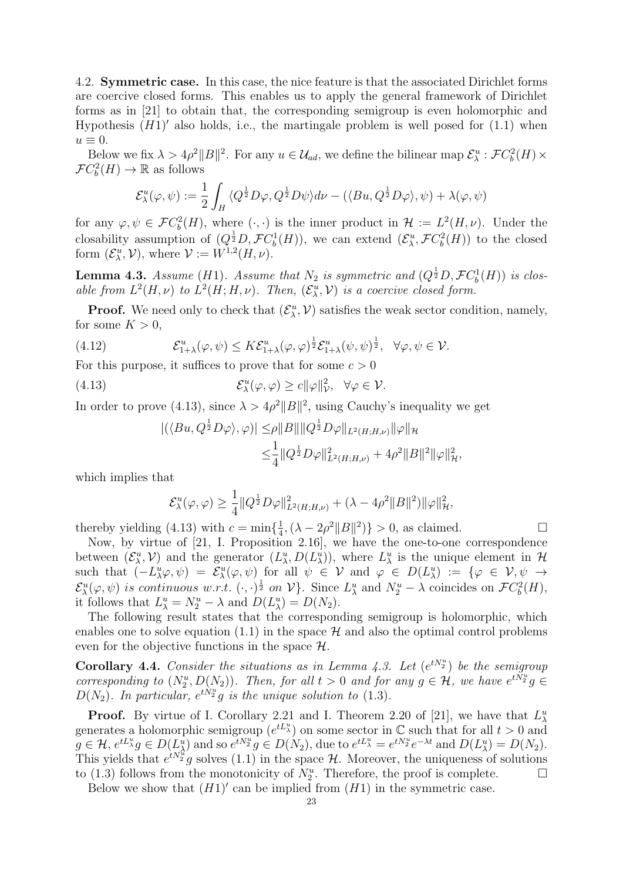4.2. Symmetric case. In this case, the nice feature is that the associated Dirichlet forms are coercive closed forms. This enables us to apply the general framework of Dirichlet forms as in [21] to obtain that, the corresponding semigroup is even holomorphic and Hypothesis  $(H1)'$  also holds, i.e., the martingale problem is well posed for  $(1.1)$  when  $u \equiv 0.$ 

Below we fix  $\lambda > 4\rho^2 ||B||^2$ . For any  $u \in \mathcal{U}_{ad}$ , we define the bilinear map  $\mathcal{E}^u_\lambda : \mathcal{F}C_b^2(H) \times$  $\mathcal{F}C_b^2(H) \to \mathbb{R}$  as follows

$$
\mathcal{E}^u_\lambda(\varphi,\psi) := \frac{1}{2}\int_H \langle Q^{\frac{1}{2}}D\varphi, Q^{\frac{1}{2}}D\psi \rangle d\nu - (\langle Bu, Q^{\frac{1}{2}}D\varphi \rangle, \psi) + \lambda(\varphi, \psi)
$$

for any  $\varphi, \psi \in \mathcal{F}C_b^2(H)$ , where  $(\cdot, \cdot)$  is the inner product in  $\mathcal{H} := L^2(H, \nu)$ . Under the closability assumption of  $(Q^{\frac{1}{2}}D, \mathcal{F}C_b^1(H))$ , we can extend  $(\mathcal{E}^u_\lambda, \mathcal{F}C_b^2(H))$  to the closed form  $(\mathcal{E}_{\lambda}^{u}, \mathcal{V})$ , where  $\mathcal{V} := W^{1,2}(H, \nu)$ .

**Lemma 4.3.** Assume (H1). Assume that  $N_2$  is symmetric and  $(Q^{\frac{1}{2}}D, \mathcal{F}C_b^1(H))$  is closable from  $L^2(H,\nu)$  to  $L^2(H;H,\nu)$ . Then,  $(\mathcal{E}_{\lambda}^u,\mathcal{V})$  is a coercive closed form.

**Proof.** We need only to check that  $(\mathcal{E}_{\lambda}^{u}, \mathcal{V})$  satisfies the weak sector condition, namely, for some  $K > 0$ ,

(4.12) 
$$
\mathcal{E}_{1+\lambda}^u(\varphi,\psi) \leq K\mathcal{E}_{1+\lambda}^u(\varphi,\varphi)^\frac{1}{2}\mathcal{E}_{1+\lambda}^u(\psi,\psi)^\frac{1}{2}, \quad \forall \varphi,\psi \in \mathcal{V}.
$$

For this purpose, it suffices to prove that for some  $c > 0$ 

(4.13) 
$$
\mathcal{E}_{\lambda}^{u}(\varphi,\varphi) \geq c \|\varphi\|_{\mathcal{V}}^{2}, \quad \forall \varphi \in \mathcal{V}.
$$

In order to prove (4.13), since  $\lambda > 4\rho^2 ||B||^2$ , using Cauchy's inequality we get

$$
\begin{aligned} |(\langle Bu, Q^{\frac{1}{2}} D\varphi \rangle, \varphi)| \leq & \rho \|B\| \|Q^{\frac{1}{2}} D\varphi\|_{L^2(H;H,\nu)} \|\varphi\|_{\mathcal{H}} \\ \leq & \frac{1}{4} \|Q^{\frac{1}{2}} D\varphi\|_{L^2(H;H,\nu)}^2 + 4\rho^2 \|B\|^2 \|\varphi\|_{\mathcal{H}}^2, \end{aligned}
$$

which implies that

$$
\mathcal{E}_{\lambda}^{u}(\varphi,\varphi) \geq \frac{1}{4} \|Q^{\frac{1}{2}} D\varphi\|_{L^{2}(H;H,\nu)}^{2} + (\lambda - 4\rho^{2} \|B\|^{2}) \|\varphi\|_{\mathcal{H}}^{2},
$$

thereby yielding (4.13) with  $c = \min\{\frac{1}{4}$  $\frac{1}{4}$ ,  $(\lambda - 2\rho^2 ||B||^2)$  > 0, as claimed.

Now, by virtue of [21, I. Proposition 2.16], we have the one-to-one correspondence between  $(\mathcal{E}^u_\lambda, \mathcal{V})$  and the generator  $(L^u_\lambda, D(L^u_\lambda))$ , where  $L^u_\lambda$  is the unique element in  $\mathcal{H}$ such that  $(-L^u_\lambda \varphi, \psi) = \mathcal{E}^u_\lambda(\varphi, \psi)$  for all  $\psi \in \mathcal{V}$  and  $\varphi \in D(L^u_\lambda) := \{ \varphi \in \mathcal{V}, \psi \to \varphi \}$  $\mathcal{E}^u_\lambda(\varphi,\psi)$  is continuous w.r.t.  $(\cdot,\cdot)^{\frac{1}{2}}$  on  $\mathcal{V}$ . Since  $L^u_\lambda$  and  $N^u_2 - \lambda$  coincides on  $\mathcal{F}C_b^2(H)$ , it follows that  $L^u_\lambda = N^u_2 - \lambda$  and  $D(L^u_\lambda) = D(N_2)$ .

The following result states that the corresponding semigroup is holomorphic, which enables one to solve equation (1.1) in the space  $\mathcal H$  and also the optimal control problems even for the objective functions in the space  $\mathcal{H}$ .

**Corollary 4.4.** Consider the situations as in Lemma 4.3. Let  $(e^{tN_2^u})$  be the semigroup corresponding to  $(N_2^u, D(N_2))$ . Then, for all  $t > 0$  and for any  $g \in \mathcal{H}$ , we have  $e^{t\tilde{N_2}u}g \in$  $D(N_2)$ . In particular,  $e^{tN_2^u}g$  is the unique solution to (1.3).

**Proof.** By virtue of I. Corollary 2.21 and I. Theorem 2.20 of [21], we have that  $L^u_\lambda$ generates a holomorphic semigroup  $(e^{tL_{\lambda}^u})$  on some sector in C such that for all  $t > 0$  and  $g \in \mathcal{H}, e^{tL_{\lambda}^u}g \in D(L_{\lambda}^u)$  and so  $e^{tN_2^u}g \in D(N_2)$ , due to  $e^{tL_{\lambda}^u} = e^{tN_2^u}e^{-\lambda t}$  and  $D(L_{\lambda}^u) = D(N_2)$ . This yields that  $e^{tN_2^u}g$  solves (1.1) in the space H. Moreover, the uniqueness of solutions to (1.3) follows from the monotonicity of  $N_2^u$ . Therefore, the proof is complete.  $\Box$ 

Below we show that  $(H1)'$  can be implied from  $(H1)$  in the symmetric case.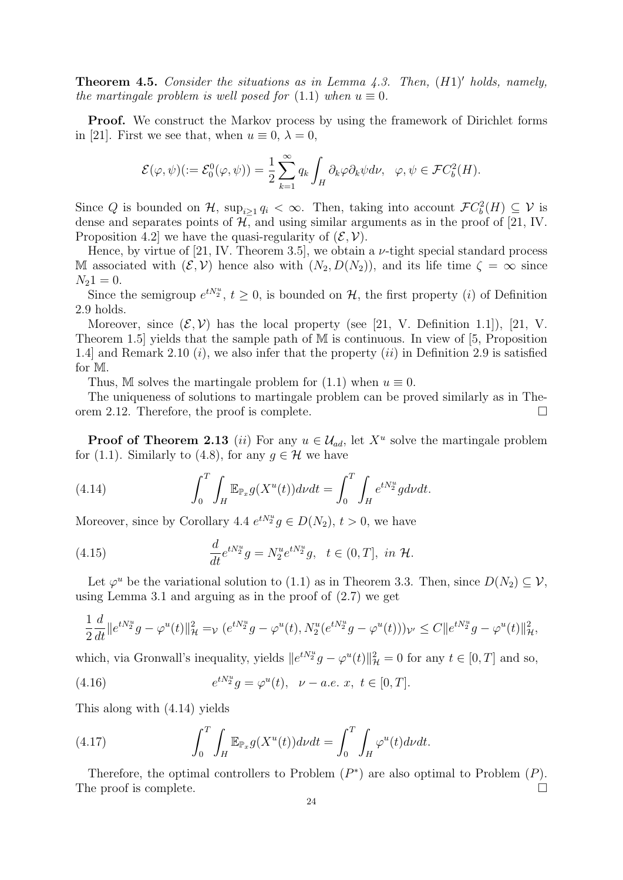**Theorem 4.5.** Consider the situations as in Lemma 4.3. Then,  $(H1)'$  holds, namely, the martingale problem is well posed for  $(1.1)$  when  $u \equiv 0$ .

Proof. We construct the Markov process by using the framework of Dirichlet forms in [21]. First we see that, when  $u \equiv 0$ ,  $\lambda = 0$ ,

$$
\mathcal{E}(\varphi,\psi)(:=\mathcal{E}_0^0(\varphi,\psi))=\frac{1}{2}\sum_{k=1}^\infty q_k\int_H\partial_k\varphi\partial_k\psi d\nu,\ \ \varphi,\psi\in\mathcal{F}C_b^2(H).
$$

Since Q is bounded on H,  $\sup_{i\geq 1} q_i < \infty$ . Then, taking into account  $\mathcal{F}C_b^2(H) \subseteq \mathcal{V}$  is dense and separates points of  $H$ , and using similar arguments as in the proof of [21, IV. Proposition 4.2 we have the quasi-regularity of  $(\mathcal{E}, \mathcal{V})$ .

Hence, by virtue of [21, IV. Theorem 3.5], we obtain a  $\nu$ -tight special standard process M associated with  $(\mathcal{E}, \mathcal{V})$  hence also with  $(N_2, D(N_2))$ , and its life time  $\zeta = \infty$  since  $N_21 = 0.$ 

Since the semigroup  $e^{tN_2^u}$ ,  $t \geq 0$ , is bounded on H, the first property (*i*) of Definition 2.9 holds.

Moreover, since  $(\mathcal{E}, \mathcal{V})$  has the local property (see [21, V. Definition 1.1]), [21, V. Theorem 1.5] yields that the sample path of M is continuous. In view of [5, Proposition 1.4] and Remark 2.10  $(i)$ , we also infer that the property  $(ii)$  in Definition 2.9 is satisfied for M.

Thus, M solves the martingale problem for  $(1.1)$  when  $u \equiv 0$ .

The uniqueness of solutions to martingale problem can be proved similarly as in Theorem 2.12. Therefore, the proof is complete.  $\Box$ 

**Proof of Theorem 2.13** (*ii*) For any  $u \in \mathcal{U}_{ad}$ , let  $X^u$  solve the martingale problem for (1.1). Similarly to (4.8), for any  $q \in \mathcal{H}$  we have

(4.14) 
$$
\int_0^T \int_H \mathbb{E}_{\mathbb{P}_x} g(X^u(t)) d\nu dt = \int_0^T \int_H e^{tN_2^u} g d\nu dt.
$$

Moreover, since by Corollary 4.4  $e^{tN_2^u}g \in D(N_2)$ ,  $t > 0$ , we have

(4.15) 
$$
\frac{d}{dt}e^{tN_2^u}g = N_2^u e^{tN_2^u}g, \ \ t \in (0,T], \ in \ \mathcal{H}.
$$

Let  $\varphi^u$  be the variational solution to (1.1) as in Theorem 3.3. Then, since  $D(N_2) \subseteq V$ , using Lemma 3.1 and arguing as in the proof of (2.7) we get

$$
\frac{1}{2}\frac{d}{dt}\|e^{tN_2^u}g-\varphi^u(t)\|_{\mathcal{H}}^2=\varphi\left(e^{tN_2^u}g-\varphi^u(t),N_2^u(e^{tN_2^u}g-\varphi^u(t))\right)\varphi\leq C\|e^{tN_2^u}g-\varphi^u(t)\|_{\mathcal{H}}^2,
$$

which, via Gronwall's inequality, yields  $||e^{tN_2^u}g - \varphi^u(t)||_{\mathcal{H}}^2 = 0$  for any  $t \in [0, T]$  and so,

(4.16) 
$$
e^{tN_2^u}g = \varphi^u(t), \quad \nu - a.e. \; x, \; t \in [0, T].
$$

This along with (4.14) yields

(4.17) 
$$
\int_0^T \int_H \mathbb{E}_{\mathbb{P}_x} g(X^u(t)) d\nu dt = \int_0^T \int_H \varphi^u(t) d\nu dt.
$$

Therefore, the optimal controllers to Problem  $(P^*)$  are also optimal to Problem  $(P)$ . The proof is complete.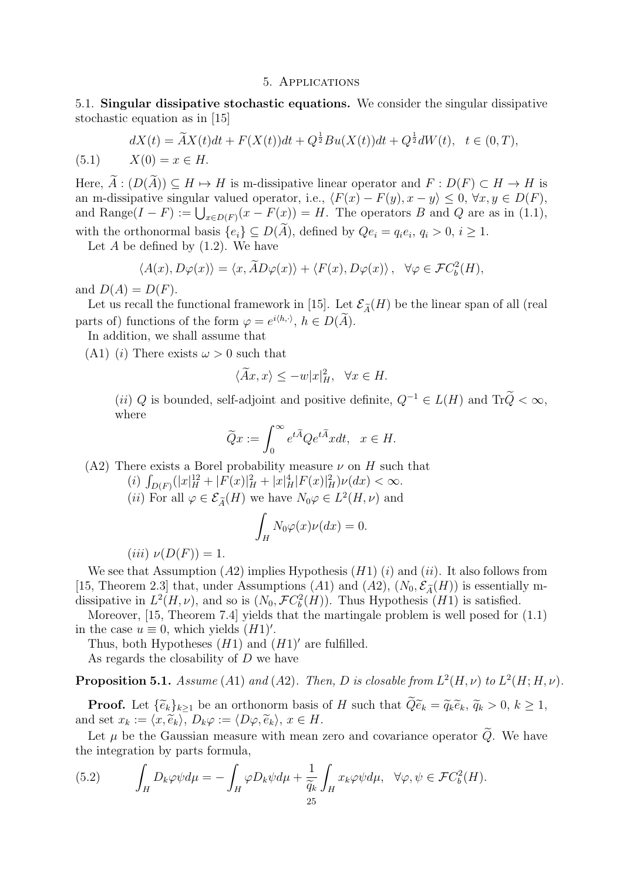#### 5. Applications

5.1. Singular dissipative stochastic equations. We consider the singular dissipative stochastic equation as in [15]

(5.1) 
$$
dX(t) = \tilde{A}X(t)dt + F(X(t))dt + Q^{\frac{1}{2}}Bu(X(t))dt + Q^{\frac{1}{2}}dW(t), \quad t \in (0, T),
$$

$$
X(0) = x \in H.
$$

Here,  $\widetilde{A}$ :  $(D(\widetilde{A})) \subseteq H \mapsto H$  is m-dissipative linear operator and  $F : D(F) \subset H \to H$  is an m-dissipative singular valued operator, i.e.,  $\langle F(x) - F(y), x - y \rangle \leq 0, \forall x, y \in D(F)$ , and Range( $I - F$ ) :=  $\bigcup_{x \in D(F)} (x - F(x)) = H$ . The operators B and Q are as in (1.1), with the orthonormal basis  $\{e_i\} \subseteq D(A)$ , defined by  $Qe_i = q_i e_i, q_i > 0, i \ge 1$ .

Let  $A$  be defined by  $(1.2)$ . We have

$$
\langle A(x), D\varphi(x) \rangle = \langle x, \widetilde{A}D\varphi(x) \rangle + \langle F(x), D\varphi(x) \rangle, \quad \forall \varphi \in \mathcal{F}C_b^2(H),
$$

and  $D(A) = D(F)$ .

Let us recall the functional framework in [15]. Let  $\mathcal{E}_{\tilde{A}}(H)$  be the linear span of all (real parts of) functions of the form  $\varphi = e^{i \langle h, \cdot \rangle}, h \in D(\tilde{A}).$ 

In addition, we shall assume that

(A1) (*i*) There exists  $\omega > 0$  such that

$$
\langle \widetilde{A}x, x \rangle \le -w|x|_H^2, \quad \forall x \in H.
$$

(ii) Q is bounded, self-adjoint and positive definite,  $Q^{-1} \in L(H)$  and  $Tr\tilde{Q} < \infty$ , where

$$
\widetilde{Q}x := \int_0^\infty e^{t\widetilde{A}} Q e^{t\widetilde{A}} x dt, \quad x \in H.
$$

(A2) There exists a Borel probability measure  $\nu$  on H such that

(i)  $\int_{D(F)} (|x|_H^{12} + |F(x)|_H^2 + |x|_H^4 |F(x)|_H^2) \nu(dx) < \infty.$ 

(*ii*) For all  $\varphi \in \mathcal{E}_{\widetilde{A}}(H)$  we have  $N_0 \varphi \in L^2(H, \nu)$  and

$$
\int_H N_0 \varphi(x) \nu(dx) = 0.
$$

$$
(iii) \ \nu(D(F)) = 1.
$$

We see that Assumption  $(A2)$  implies Hypothesis  $(H1)$  (i) and (ii). It also follows from [15, Theorem 2.3] that, under Assumptions (A1) and (A2),  $(N_0, \mathcal{E}_{\tilde{A}}(H))$  is essentially mdissipative in  $L^2(H, \nu)$ , and so is  $(N_0, \mathcal{F}C_b^2(H))$ . Thus Hypothesis  $(H1)$  is satisfied.

Moreover, [15, Theorem 7.4] yields that the martingale problem is well posed for (1.1) in the case  $u \equiv 0$ , which yields  $(H1)'$ .

Thus, both Hypotheses  $(H1)$  and  $(H1)'$  are fulfilled.

As regards the closability of D we have

**Proposition 5.1.** Assume (A1) and (A2). Then, D is closable from  $L^2(H, \nu)$  to  $L^2(H; H, \nu)$ .

**Proof.** Let  $\{\widetilde{e}_k\}_{k>1}$  be an orthonorm basis of H such that  $\widetilde{Q}\widetilde{e}_k = \widetilde{q}_k\widetilde{e}_k$ ,  $\widetilde{q}_k > 0$ ,  $k \geq 1$ , and set  $x_k := \langle x, \widetilde{e}_k \rangle, D_k \varphi := \langle D\varphi, \widetilde{e}_k \rangle, x \in H$ .

Let  $\mu$  be the Gaussian measure with mean zero and covariance operator  $\widetilde{Q}$ . We have the integration by parts formula,

(5.2) 
$$
\int_H D_k \varphi \psi d\mu = -\int_H \varphi D_k \psi d\mu + \frac{1}{\widetilde{q}_k} \int_H x_k \varphi \psi d\mu, \quad \forall \varphi, \psi \in \mathcal{F}C_b^2(H).
$$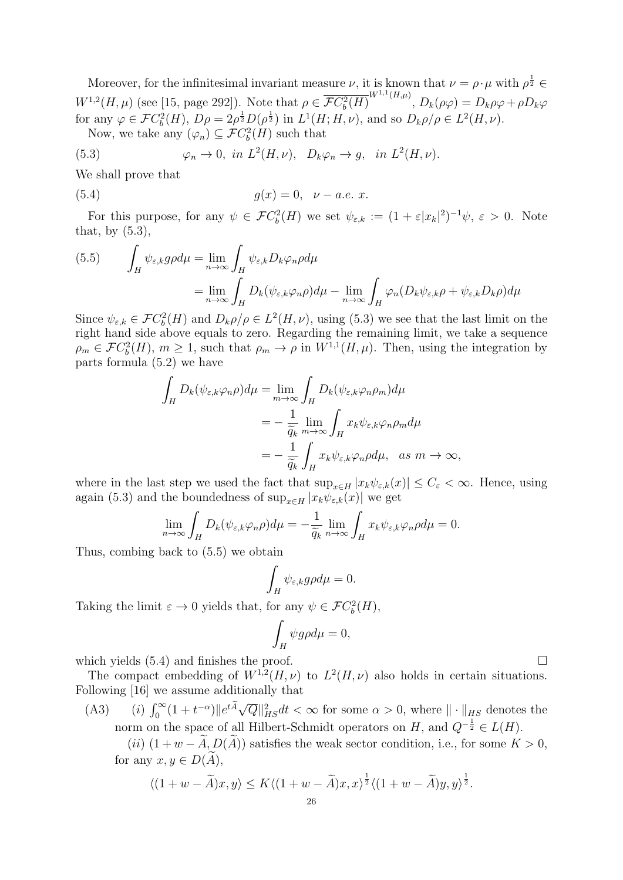Moreover, for the infinitesimal invariant measure  $\nu$ , it is known that  $\nu = \rho \cdot \mu$  with  $\rho^{\frac{1}{2}} \in$  $W^{1,2}(H,\mu)$  (see [15, page 292]). Note that  $\rho \in \overline{\mathcal{F}C_b^2(H)}^{W^{1,1}(H,\mu)}, D_k(\rho\varphi) = D_k\rho\varphi + \rho D_k\varphi$ for any  $\varphi \in \mathcal{F}C_b^2(H)$ ,  $D\rho = 2\rho^{\frac{1}{2}}D(\rho^{\frac{1}{2}})$  in  $L^1(H; H, \nu)$ , and so  $D_k\rho/\rho \in L^2(H, \nu)$ .

Now, we take any  $(\varphi_n) \subseteq \mathcal{F}C_b^2(H)$  such that

(5.3) 
$$
\varphi_n \to 0, \text{ in } L^2(H,\nu), \quad D_k \varphi_n \to g, \text{ in } L^2(H,\nu).
$$

We shall prove that

(5.4) 
$$
g(x) = 0, \quad \nu - a.e. \ x.
$$

For this purpose, for any  $\psi \in \mathcal{F}C_b^2(H)$  we set  $\psi_{\varepsilon,k} := (1 + \varepsilon |x_k|^2)^{-1} \psi$ ,  $\varepsilon > 0$ . Note that, by  $(5.3)$ ,

(5.5) 
$$
\int_H \psi_{\varepsilon,k} g \rho d\mu = \lim_{n \to \infty} \int_H \psi_{\varepsilon,k} D_k \varphi_n \rho d\mu
$$

$$
= \lim_{n \to \infty} \int_H D_k(\psi_{\varepsilon,k} \varphi_n \rho) d\mu - \lim_{n \to \infty} \int_H \varphi_n (D_k \psi_{\varepsilon,k} \rho + \psi_{\varepsilon,k} D_k \rho) d\mu
$$

Since  $\psi_{\varepsilon,k} \in \mathcal{F}C_b^2(H)$  and  $D_k \rho/\rho \in L^2(H,\nu)$ , using (5.3) we see that the last limit on the right hand side above equals to zero. Regarding the remaining limit, we take a sequence  $\rho_m \in \mathcal{F}C_b^2(H)$ ,  $m \geq 1$ , such that  $\rho_m \to \rho$  in  $W^{1,1}(H,\mu)$ . Then, using the integration by parts formula (5.2) we have

$$
\int_{H} D_{k}(\psi_{\varepsilon,k}\varphi_{n}\rho) d\mu = \lim_{m \to \infty} \int_{H} D_{k}(\psi_{\varepsilon,k}\varphi_{n}\rho_{m}) d\mu
$$
  
\n
$$
= -\frac{1}{\widetilde{q}_{k}} \lim_{m \to \infty} \int_{H} x_{k} \psi_{\varepsilon,k}\varphi_{n}\rho_{m} d\mu
$$
  
\n
$$
= -\frac{1}{\widetilde{q}_{k}} \int_{H} x_{k} \psi_{\varepsilon,k}\varphi_{n}\rho d\mu, \text{ as } m \to \infty,
$$

where in the last step we used the fact that  $\sup_{x \in H} |x_k \psi_{\varepsilon,k}(x)| \leq C_{\varepsilon} < \infty$ . Hence, using again (5.3) and the boundedness of  $\sup_{x \in H} |x_k \psi_{\varepsilon,k}(x)|$  we get

$$
\lim_{n \to \infty} \int_H D_k(\psi_{\varepsilon,k} \varphi_n \rho) d\mu = -\frac{1}{\widetilde{q}_k} \lim_{n \to \infty} \int_H x_k \psi_{\varepsilon,k} \varphi_n \rho d\mu = 0.
$$

Thus, combing back to (5.5) we obtain

$$
\int_H \psi_{\varepsilon,k} g \rho d\mu = 0.
$$

Taking the limit  $\varepsilon \to 0$  yields that, for any  $\psi \in \mathcal{F}C_b^2(H)$ ,

$$
\int_H \psi g \rho d\mu = 0,
$$

which yields  $(5.4)$  and finishes the proof.

The compact embedding of  $W^{1,2}(H,\nu)$  to  $L^2(H,\nu)$  also holds in certain situations. Following [16] we assume additionally that

(A3) (i)  $\int_0^\infty (1+t^{-\alpha}) \|e^{t\widetilde{A}} \sqrt{Q}\|_{HS}^2 dt < \infty$  for some  $\alpha > 0$ , where  $\|\cdot\|_{HS}$  denotes the norm on the space of all Hilbert-Schmidt operators on H, and  $Q^{-\frac{1}{2}} \in L(H)$ .

(ii)  $(1 + w - \tilde{A}, D(\tilde{A}))$  satisfies the weak sector condition, i.e., for some  $K > 0$ , for any  $x, y \in D(\tilde{A}),$ 

$$
\langle (1+w-\widetilde{A})x, y \rangle \le K \langle (1+w-\widetilde{A})x, x \rangle^{\frac{1}{2}} \langle (1+w-\widetilde{A})y, y \rangle^{\frac{1}{2}}.
$$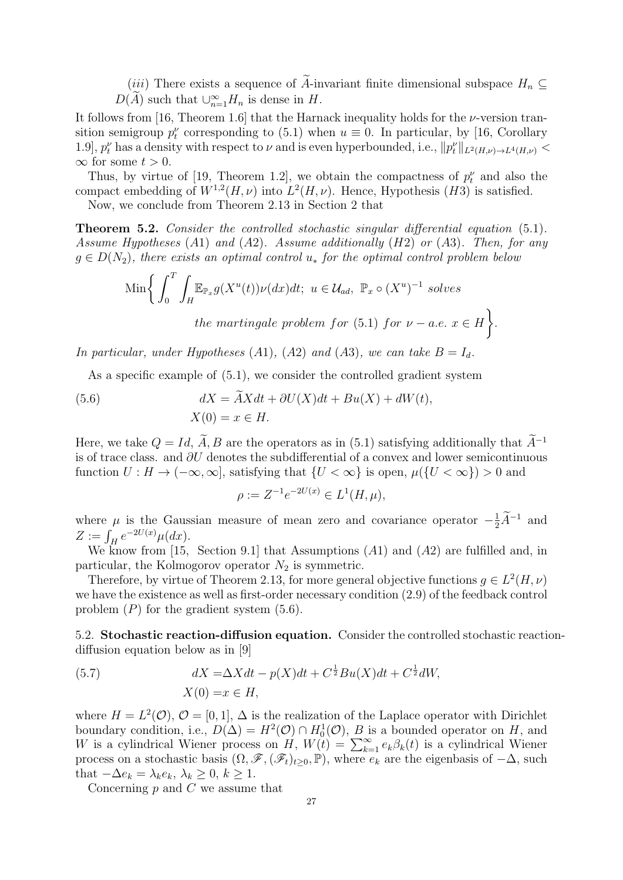(*iii*) There exists a sequence of A-invariant finite dimensional subspace  $H_n \subseteq$  $D(\widetilde{A})$  such that  $\cup_{n=1}^{\infty} H_n$  is dense in  $H$ .

It follows from [16, Theorem 1.6] that the Harnack inequality holds for the  $\nu$ -version transition semigroup  $p_t^{\nu}$  corresponding to (5.1) when  $u \equiv 0$ . In particular, by [16, Corollary 1.9,  $p_t^{\nu}$  has a density with respect to  $\nu$  and is even hyperbounded, i.e.,  $||p_t^{\nu}||_{L^2(H,\nu)\to L^4(H,\nu)} <$  $\infty$  for some  $t > 0$ .

Thus, by virtue of [19, Theorem 1.2], we obtain the compactness of  $p_t^{\nu}$  and also the compact embedding of  $W^{1,2}(H,\nu)$  into  $L^2(H,\nu)$ . Hence, Hypothesis (H3) is satisfied.

Now, we conclude from Theorem 2.13 in Section 2 that

**Theorem 5.2.** Consider the controlled stochastic singular differential equation (5.1). Assume Hypotheses  $(A1)$  and  $(A2)$ . Assume additionally  $(H2)$  or  $(A3)$ . Then, for any  $g \in D(N_2)$ , there exists an optimal control  $u_*$  for the optimal control problem below

$$
\text{Min}\bigg\{\int_0^T \int_H \mathbb{E}_{\mathbb{P}_x} g(X^u(t)) \nu(dx) dt; \ u \in \mathcal{U}_{ad}, \ \mathbb{P}_x \circ (X^u)^{-1} \text{ solves}
$$
\n
$$
\text{the martingale problem for (5.1) for } \nu - a.e. \ x \in H\bigg\}.
$$

In particular, under Hypotheses (A1), (A2) and (A3), we can take  $B = I_d$ .

As a specific example of (5.1), we consider the controlled gradient system

(5.6) 
$$
dX = \widetilde{A}Xdt + \partial U(X)dt + Bu(X) + dW(t),
$$

$$
X(0) = x \in H.
$$

Here, we take  $Q = Id$ ,  $\widetilde{A}$ , B are the operators as in (5.1) satisfying additionally that  $\widetilde{A}^{-1}$ is of trace class. and ∂U denotes the subdifferential of a convex and lower semicontinuous function  $U : H \to (-\infty, \infty]$ , satisfying that  $\{U < \infty\}$  is open,  $\mu(\{U < \infty\}) > 0$  and

$$
\rho := Z^{-1}e^{-2U(x)} \in L^1(H, \mu),
$$

where  $\mu$  is the Gaussian measure of mean zero and covariance operator  $-\frac{1}{2}\tilde{A}^{-1}$  and  $Z := \int_H e^{-2U(x)} \mu(dx).$ 

We know from [15, Section 9.1] that Assumptions  $(A1)$  and  $(A2)$  are fulfilled and, in particular, the Kolmogorov operator  $N_2$  is symmetric.

Therefore, by virtue of Theorem 2.13, for more general objective functions  $g \in L^2(H, \nu)$ we have the existence as well as first-order necessary condition (2.9) of the feedback control problem  $(P)$  for the gradient system  $(5.6)$ .

5.2. Stochastic reaction-diffusion equation. Consider the controlled stochastic reactiondiffusion equation below as in [9]

(5.7) 
$$
dX = \Delta X dt - p(X)dt + C^{\frac{1}{2}}Bu(X)dt + C^{\frac{1}{2}}dW,
$$

$$
X(0) = x \in H,
$$

where  $H = L^2(\mathcal{O}), \mathcal{O} = [0, 1], \Delta$  is the realization of the Laplace operator with Dirichlet boundary condition, i.e.,  $D(\Delta) = H^2(\mathcal{O}) \cap H_0^1(\mathcal{O}), B$  is a bounded operator on H, and W is a cylindrical Wiener process on  $H$ ,  $W(t) = \sum_{k=1}^{\infty} e_k \beta_k(t)$  is a cylindrical Wiener process on a stochastic basis  $(\Omega, \mathscr{F},(\mathscr{F}_t)_{t\geq0}, \mathbb{P})$ , where  $e_k$  are the eigenbasis of  $-\Delta$ , such that  $-\Delta e_k = \lambda_k e_k, \, \lambda_k \geq 0, \, k \geq 1.$ 

Concerning  $p$  and  $C$  we assume that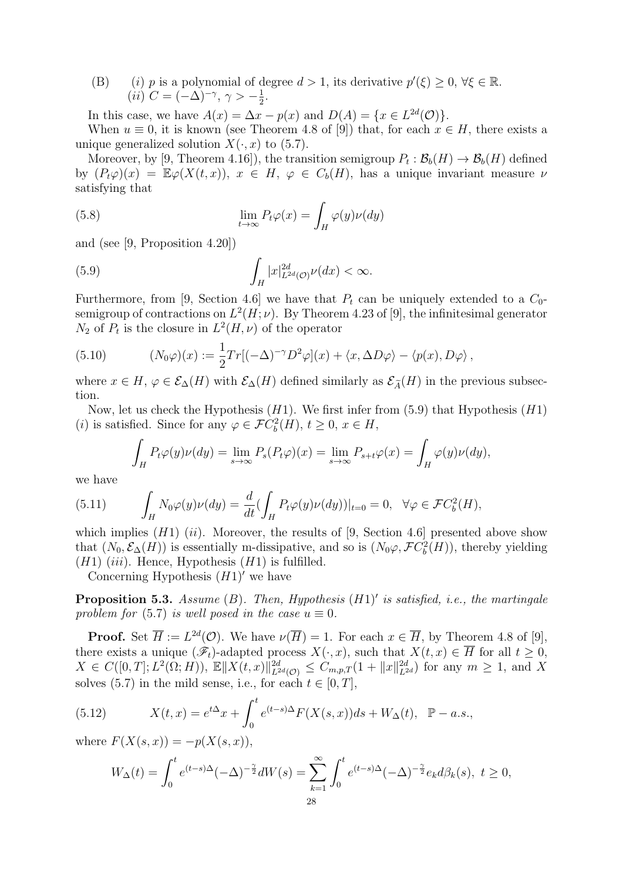(B) (i) p is a polynomial of degree  $d > 1$ , its derivative  $p'(\xi) \geq 0, \forall \xi \in \mathbb{R}$ .  $(ii)$   $C = (-\Delta)^{-\gamma}, \gamma > -\frac{1}{2}$  $\frac{1}{2}$ .

In this case, we have  $A(x) = \Delta x - p(x)$  and  $D(A) = \{x \in L^{2d}(\mathcal{O})\}.$ 

When  $u \equiv 0$ , it is known (see Theorem 4.8 of [9]) that, for each  $x \in H$ , there exists a unique generalized solution  $X(\cdot, x)$  to (5.7).

Moreover, by [9, Theorem 4.16]), the transition semigroup  $P_t : \mathcal{B}_b(H) \to \mathcal{B}_b(H)$  defined by  $(P_t\varphi)(x) = \mathbb{E}\varphi(X(t,x)), x \in H, \varphi \in C_b(H)$ , has a unique invariant measure  $\nu$ satisfying that

(5.8) 
$$
\lim_{t \to \infty} P_t \varphi(x) = \int_H \varphi(y) \nu(dy)
$$

and (see [9, Proposition 4.20])

(5.9) 
$$
\int_H |x|_{L^{2d}(\mathcal{O})}^{2d}\nu(dx) < \infty.
$$

Furthermore, from [9, Section 4.6] we have that  $P_t$  can be uniquely extended to a  $C_0$ semigroup of contractions on  $L^2(H; \nu)$ . By Theorem 4.23 of [9], the infinitesimal generator  $N_2$  of  $P_t$  is the closure in  $L^2(H,\nu)$  of the operator

(5.10) 
$$
(N_0\varphi)(x) := \frac{1}{2}Tr[(-\Delta)^{-\gamma}D^2\varphi](x) + \langle x, \Delta D\varphi \rangle - \langle p(x), D\varphi \rangle,
$$

where  $x \in H$ ,  $\varphi \in \mathcal{E}_{\Delta}(H)$  with  $\mathcal{E}_{\Delta}(H)$  defined similarly as  $\mathcal{E}_{\tilde{\Lambda}}(H)$  in the previous subsection.

Now, let us check the Hypothesis  $(H1)$ . We first infer from  $(5.9)$  that Hypothesis  $(H1)$ (*i*) is satisfied. Since for any  $\varphi \in \mathcal{F}C_b^2(H)$ ,  $t \geq 0$ ,  $x \in H$ ,

$$
\int_H P_t \varphi(y) \nu(dy) = \lim_{s \to \infty} P_s(P_t \varphi)(x) = \lim_{s \to \infty} P_{s+t} \varphi(x) = \int_H \varphi(y) \nu(dy),
$$

we have

(5.11) 
$$
\int_H N_0 \varphi(y) \nu(dy) = \frac{d}{dt} \left( \int_H P_t \varphi(y) \nu(dy) \right) \Big|_{t=0} = 0, \quad \forall \varphi \in \mathcal{F}C_b^2(H),
$$

which implies  $(H1)$   $(ii)$ . Moreover, the results of [9, Section 4.6] presented above show that  $(N_0, \mathcal{E}_{\Delta}(H))$  is essentially m-dissipative, and so is  $(N_0\varphi, \mathcal{F}C_b^2(H))$ , thereby yielding  $(H1)$  (iii). Hence, Hypothesis  $(H1)$  is fulfilled.

Concerning Hypothesis  $(H1)'$  we have

**Proposition 5.3.** Assume  $(B)$ . Then, Hypothesis  $(H1)'$  is satisfied, i.e., the martingale problem for (5.7) is well posed in the case  $u \equiv 0$ .

**Proof.** Set  $\overline{H} := L^{2d}(\mathcal{O})$ . We have  $\nu(\overline{H}) = 1$ . For each  $x \in \overline{H}$ , by Theorem 4.8 of [9], there exists a unique  $(\mathscr{F}_t)$ -adapted process  $X(\cdot, x)$ , such that  $X(t, x) \in \overline{H}$  for all  $t \geq 0$ ,  $X \in C([0,T]; L^2(\Omega; H)), \ \mathbb{E} \Vert X(t,x) \Vert_{L^{2d}(\mathcal{O})}^{2d} \leq C_{m,p,T} (1 + ||x||_{L^{2d}}^{2d})$  for any  $m \geq 1$ , and X solves (5.7) in the mild sense, i.e., for each  $t \in [0, T]$ ,

(5.12) 
$$
X(t,x) = e^{t\Delta}x + \int_0^t e^{(t-s)\Delta} F(X(s,x))ds + W_{\Delta}(t), \quad \mathbb{P}-a.s.,
$$

where  $F(X(s, x)) = -p(X(s, x)),$ 

$$
W_{\Delta}(t) = \int_0^t e^{(t-s)\Delta}(-\Delta)^{-\frac{\gamma}{2}}dW(s) = \sum_{k=1}^{\infty} \int_0^t e^{(t-s)\Delta}(-\Delta)^{-\frac{\gamma}{2}}e_k d\beta_k(s), \ t \ge 0,
$$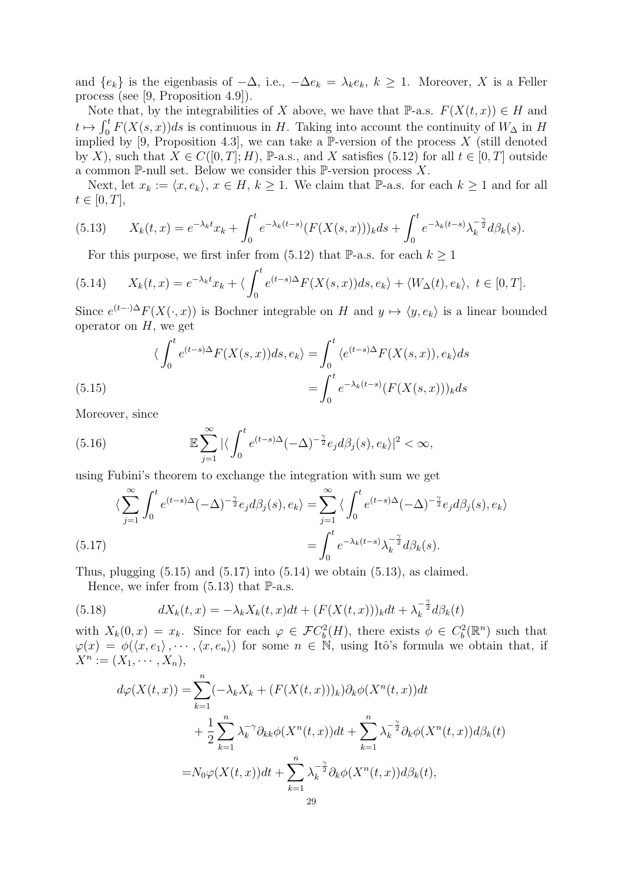and  $\{e_k\}$  is the eigenbasis of  $-\Delta$ , i.e.,  $-\Delta e_k = \lambda_k e_k$ ,  $k \geq 1$ . Moreover, X is a Feller process (see [9, Proposition 4.9]).

Note that, by the integrabilities of X above, we have that P-a.s.  $F(X(t, x)) \in H$  and  $t \mapsto \int_0^t F(X(s, x))ds$  is continuous in H. Taking into account the continuity of  $W_\Delta$  in H implied by [9, Proposition 4.3], we can take a  $\mathbb{P}\text{-version of the process } X$  (still denoted by X), such that  $X \in C([0, T]; H)$ , P-a.s., and X satisfies (5.12) for all  $t \in [0, T]$  outside a common P-null set. Below we consider this P-version process  $X$ .

Next, let  $x_k := \langle x, e_k \rangle, x \in H, k \ge 1$ . We claim that P-a.s. for each  $k \ge 1$  and for all  $t \in [0, T],$ 

(5.13) 
$$
X_k(t,x) = e^{-\lambda_k t} x_k + \int_0^t e^{-\lambda_k (t-s)} (F(X(s,x)))_k ds + \int_0^t e^{-\lambda_k (t-s)} \lambda_k^{-\frac{\gamma}{2}} d\beta_k(s).
$$

For this purpose, we first infer from (5.12) that P-a.s. for each  $k \geq 1$ 

(5.14) 
$$
X_k(t,x) = e^{-\lambda_k t} x_k + \langle \int_0^t e^{(t-s)\Delta} F(X(s,x)) ds, e_k \rangle + \langle W_{\Delta}(t), e_k \rangle, \ t \in [0, T].
$$

Since  $e^{(t-1)\Delta}F(X(\cdot,x))$  is Bochner integrable on H and  $y \mapsto \langle y, e_k \rangle$  is a linear bounded operator on  $H$ , we get

(5.15) 
$$
\langle \int_0^t e^{(t-s)\Delta} F(X(s,x))ds, e_k \rangle = \int_0^t \langle e^{(t-s)\Delta} F(X(s,x)), e_k \rangle ds
$$

$$
= \int_0^t e^{-\lambda_k(t-s)} (F(X(s,x)))_k ds
$$

Moreover, since

(5.16) 
$$
\mathbb{E}\sum_{j=1}^{\infty} |\langle \int_0^t e^{(t-s)\Delta}(-\Delta)^{-\frac{\gamma}{2}}e_j d\beta_j(s), e_k\rangle|^2 < \infty,
$$

using Fubini's theorem to exchange the integration with sum we get

$$
\langle \sum_{j=1}^{\infty} \int_{0}^{t} e^{(t-s)\Delta} (-\Delta)^{-\frac{\gamma}{2}} e_j d\beta_j(s), e_k \rangle = \sum_{j=1}^{\infty} \langle \int_{0}^{t} e^{(t-s)\Delta} (-\Delta)^{-\frac{\gamma}{2}} e_j d\beta_j(s), e_k \rangle
$$
  

$$
= \int_{0}^{t} e^{-\lambda_k(t-s)} \lambda_k^{-\frac{\gamma}{2}} d\beta_k(s).
$$

Thus, plugging  $(5.15)$  and  $(5.17)$  into  $(5.14)$  we obtain  $(5.13)$ , as claimed.

Hence, we infer from  $(5.13)$  that  $\mathbb{P}\text{-a.s.}$ 

(5.18) 
$$
dX_k(t,x) = -\lambda_k X_k(t,x)dt + (F(X(t,x)))_k dt + \lambda_k^{-\frac{\gamma}{2}} d\beta_k(t)
$$

with  $X_k(0,x) = x_k$ . Since for each  $\varphi \in \mathcal{F}C_b^2(H)$ , there exists  $\phi \in C_b^2(\mathbb{R}^n)$  such that  $\varphi(x) = \varphi(\langle x, e_1 \rangle, \cdots, \langle x, e_n \rangle)$  for some  $n \in \mathbb{N}$ , using Itô's formula we obtain that, if  $X^n := (X_1, \cdots, X_n),$ 

$$
d\varphi(X(t,x)) = \sum_{k=1}^{n} (-\lambda_k X_k + (F(X(t,x)))_k) \partial_k \phi(X^n(t,x)) dt
$$
  
+ 
$$
\frac{1}{2} \sum_{k=1}^{n} \lambda_k^{-\gamma} \partial_{kk} \phi(X^n(t,x)) dt + \sum_{k=1}^{n} \lambda_k^{-\frac{\gamma}{2}} \partial_k \phi(X^n(t,x)) d\beta_k(t)
$$
  
= 
$$
N_0 \varphi(X(t,x)) dt + \sum_{k=1}^{n} \lambda_k^{-\frac{\gamma}{2}} \partial_k \phi(X^n(t,x)) d\beta_k(t),
$$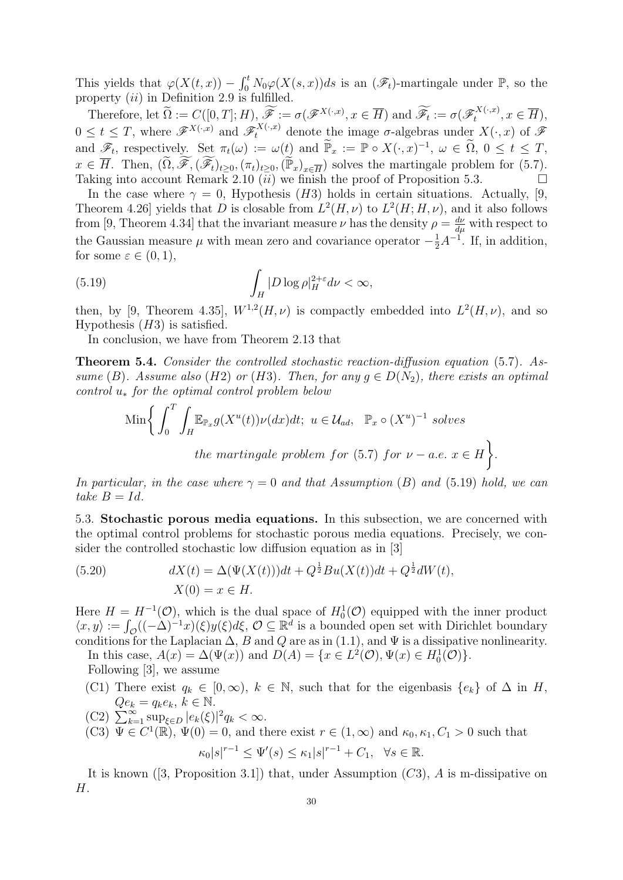This yields that  $\varphi(X(t,x)) - \int_0^t N_0 \varphi(X(s,x))ds$  is an  $(\mathscr{F}_t)$ -martingale under  $\mathbb{P}$ , so the property  $(ii)$  in Definition 2.9 is fulfilled.

Therefore, let  $\widetilde{\Omega} := C([0, T]; H), \widetilde{\mathscr{F}} := \sigma(\mathscr{F}^{X(\cdot,x)}, x \in \overline{H})$  and  $\widetilde{\mathscr{F}}_t := \sigma(\mathscr{F}^{X(\cdot,x)}_t)$  $\mathcal{L}^{X(\cdot,x)}$ ,  $x \in H$ ),  $0 \leq t \leq T$ , where  $\mathscr{F}^{X(\cdot,x)}$  and  $\mathscr{F}^{X(\cdot,x)}_t$  denote the image  $\sigma$ -algebras under  $X(\cdot,x)$  of  $\mathscr{F}$ and  $\mathscr{F}_t$ , respectively. Set  $\pi_t(\omega) := \omega(t)$  and  $\widetilde{\mathbb{P}}_x := \mathbb{P} \circ X(\cdot, x)^{-1}$ ,  $\omega \in \widetilde{\Omega}$ ,  $0 \le t \le T$ ,  $x \in \overline{H}$ . Then,  $(\widetilde{\Omega}, \widetilde{\mathscr{F}}, (\widetilde{\mathscr{F}}_t)_{t\geq 0}, (\pi_t)_{t\geq 0}, (\widetilde{\mathbb{P}}_x)_{x\in \overline{H}})$  solves the martingale problem for (5.7). Taking into account Remark 2.10  $(ii)$  we finish the proof of Proposition 5.3.

In the case where  $\gamma = 0$ , Hypothesis (H3) holds in certain situations. Actually, [9, Theorem 4.26 yields that D is closable from  $L^2(H, \nu)$  to  $L^2(H, H, \nu)$ , and it also follows from [9, Theorem 4.34] that the invariant measure  $\nu$  has the density  $\rho = \frac{d\nu}{d\mu}$  with respect to the Gaussian measure  $\mu$  with mean zero and covariance operator  $-\frac{1}{2}A^{-1}$ . If, in addition, for some  $\varepsilon \in (0,1)$ ,

(5.19) 
$$
\int_H |D \log \rho|_H^{2+\varepsilon} d\nu < \infty,
$$

then, by [9, Theorem 4.35],  $W^{1,2}(H,\nu)$  is compactly embedded into  $L^2(H,\nu)$ , and so Hypothesis  $(H3)$  is satisfied.

In conclusion, we have from Theorem 2.13 that

Theorem 5.4. Consider the controlled stochastic reaction-diffusion equation (5.7). Assume (B). Assume also (H2) or (H3). Then, for any  $g \in D(N_2)$ , there exists an optimal control  $u_*$  for the optimal control problem below

$$
\text{Min}\bigg\{\int_0^T \int_H \mathbb{E}_{\mathbb{P}_x} g(X^u(t)) \nu(dx) dt; \ u \in \mathcal{U}_{ad}, \ \mathbb{P}_x \circ (X^u)^{-1} \text{ solves}
$$
\n
$$
\text{the martingale problem for (5.7) for } \nu - a.e. \ x \in H \bigg\}.
$$

In particular, in the case where  $\gamma = 0$  and that Assumption (B) and (5.19) hold, we can take  $B = Id$ .

5.3. Stochastic porous media equations. In this subsection, we are concerned with the optimal control problems for stochastic porous media equations. Precisely, we consider the controlled stochastic low diffusion equation as in [3]

(5.20) 
$$
dX(t) = \Delta(\Psi(X(t)))dt + Q^{\frac{1}{2}}Bu(X(t))dt + Q^{\frac{1}{2}}dW(t),
$$

$$
X(0) = x \in H.
$$

Here  $H = H^{-1}(\mathcal{O})$ , which is the dual space of  $H_0^1(\mathcal{O})$  equipped with the inner product  $\langle x, y \rangle := \int_{\mathcal{O}} ((-\Delta)^{-1}x)(\xi)y(\xi)d\xi, \mathcal{O} \subseteq \mathbb{R}^d$  is a bounded open set with Dirichlet boundary conditions for the Laplacian  $\Delta$ , B and Q are as in (1.1), and  $\Psi$  is a dissipative nonlinearity. In this case,  $A(x) = \Delta(\Psi(x))$  and  $D(A) = \{x \in L^2(\mathcal{O}), \Psi(x) \in H_0^1(\mathcal{O})\}.$ 

Following [3], we assume

- (C1) There exist  $q_k \in [0,\infty)$ ,  $k \in \mathbb{N}$ , such that for the eigenbasis  $\{e_k\}$  of  $\Delta$  in  $H$ ,  $Qe_k = q_k e_k, k \in \mathbb{N}$ .
- $(C2)$   $\sum_{k=1}^{\infty} \sup_{\xi \in D} |e_k(\xi)|^2 q_k < \infty$ .
- (C3)  $\overline{\Psi} \in C^1(\mathbb{R})$ ,  $\Psi(0) = 0$ , and there exist  $r \in (1,\infty)$  and  $\kappa_0, \kappa_1, C_1 > 0$  such that  $\kappa_0|s|^{r-1} \le \Psi'(s) \le \kappa_1|s|^{r-1} + C_1, \ \ \forall s \in \mathbb{R}.$

It is known  $(3, \text{Proposition 3.1})$  that, under Assumption  $(C3)$ , A is m-dissipative on H.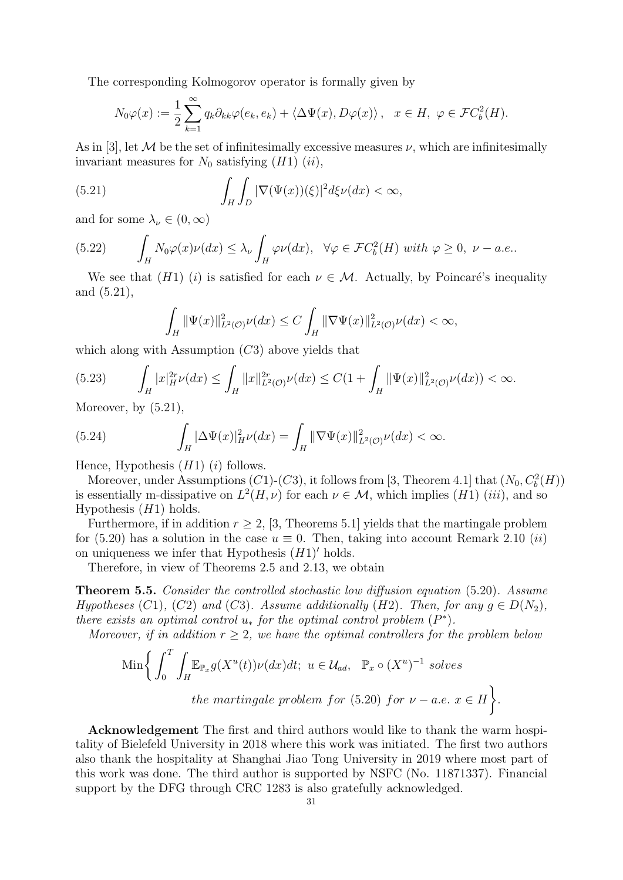The corresponding Kolmogorov operator is formally given by

$$
N_0\varphi(x) := \frac{1}{2} \sum_{k=1}^{\infty} q_k \partial_{kk} \varphi(e_k, e_k) + \langle \Delta \Psi(x), D\varphi(x) \rangle, \quad x \in H, \ \varphi \in \mathcal{F}C_b^2(H).
$$

As in [3], let M be the set of infinitesimally excessive measures  $\nu$ , which are infinitesimally invariant measures for  $N_0$  satisfying  $(H1)$   $(ii)$ ,

(5.21) 
$$
\int_H \int_D |\nabla(\Psi(x))(\xi)|^2 d\xi \nu(dx) < \infty,
$$

and for some  $\lambda_{\nu} \in (0, \infty)$ 

(5.22) 
$$
\int_H N_0 \varphi(x) \nu(dx) \leq \lambda_{\nu} \int_H \varphi \nu(dx), \quad \forall \varphi \in \mathcal{F}C_b^2(H) \text{ with } \varphi \geq 0, \ \nu-a.e..
$$

We see that  $(H1)$  (i) is satisfied for each  $\nu \in \mathcal{M}$ . Actually, by Poincaré's inequality and (5.21),

$$
\int_H \|\Psi(x)\|_{L^2(\mathcal{O})}^2 \nu(dx) \le C \int_H \|\nabla\Psi(x)\|_{L^2(\mathcal{O})}^2 \nu(dx) < \infty,
$$

which along with Assumption  $(C3)$  above yields that

$$
(5.23) \qquad \int_H |x|_H^{2r} \nu(dx) \le \int_H \|x\|_{L^2(\mathcal{O})}^{2r} \nu(dx) \le C(1 + \int_H \|\Psi(x)\|_{L^2(\mathcal{O})}^2 \nu(dx)) < \infty.
$$

Moreover, by (5.21),

(5.24) 
$$
\int_H |\Delta\Psi(x)|_H^2 \nu(dx) = \int_H \|\nabla\Psi(x)\|_{L^2(\mathcal{O})}^2 \nu(dx) < \infty.
$$

Hence, Hypothesis  $(H1)$  (*i*) follows.

Moreover, under Assumptions  $(C1)-(C3)$ , it follows from [3, Theorem 4.1] that  $(N_0, C_b^2(H))$ is essentially m-dissipative on  $L^2(H,\nu)$  for each  $\nu \in \mathcal{M}$ , which implies  $(H1)$  (iii), and so Hypothesis  $(H1)$  holds.

Furthermore, if in addition  $r \geq 2$ , [3, Theorems 5.1] yields that the martingale problem for (5.20) has a solution in the case  $u \equiv 0$ . Then, taking into account Remark 2.10 *(ii)* on uniqueness we infer that Hypothesis  $(H1)'$  holds.

Therefore, in view of Theorems 2.5 and 2.13, we obtain

Theorem 5.5. Consider the controlled stochastic low diffusion equation (5.20). Assume Hypotheses (C1), (C2) and (C3). Assume additionally (H2). Then, for any  $g \in D(N_2)$ , there exists an optimal control  $u_*$  for the optimal control problem  $(P^*)$ .

Moreover, if in addition  $r \geq 2$ , we have the optimal controllers for the problem below

$$
\text{Min}\bigg\{\int_0^T \int_H \mathbb{E}_{\mathbb{P}_x} g(X^u(t)) \nu(dx) dt; \ u \in \mathcal{U}_{ad}, \ \mathbb{P}_x \circ (X^u)^{-1} \text{ solves}
$$
\n
$$
\text{the martingale problem for (5.20) for } \nu - a.e. \ x \in H\bigg\}.
$$

Acknowledgement The first and third authors would like to thank the warm hospitality of Bielefeld University in 2018 where this work was initiated. The first two authors also thank the hospitality at Shanghai Jiao Tong University in 2019 where most part of this work was done. The third author is supported by NSFC (No. 11871337). Financial support by the DFG through CRC 1283 is also gratefully acknowledged.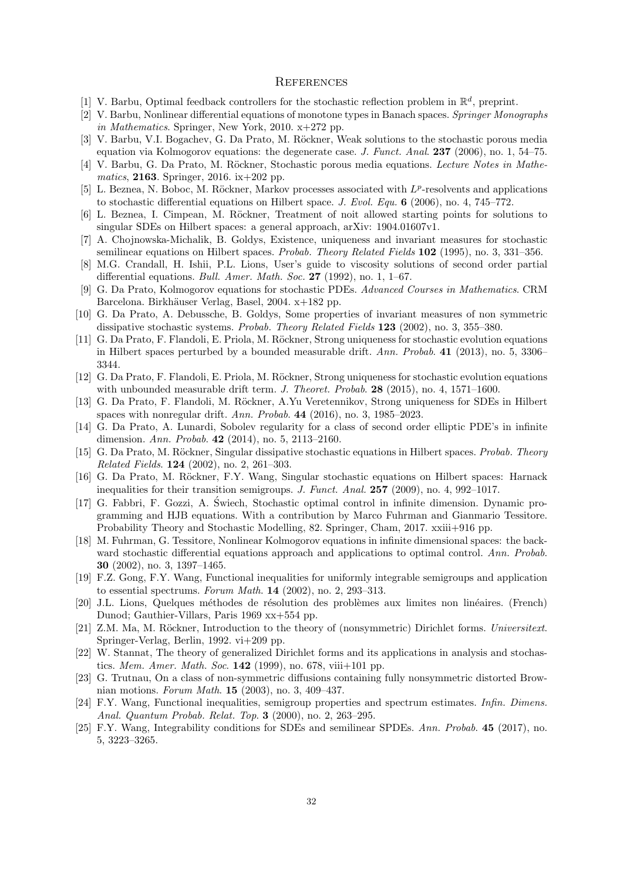#### **REFERENCES**

- [1] V. Barbu, Optimal feedback controllers for the stochastic reflection problem in  $\mathbb{R}^d$ , preprint.
- [2] V. Barbu, Nonlinear differential equations of monotone types in Banach spaces. Springer Monographs in Mathematics. Springer, New York, 2010.  $x+272$  pp.
- [3] V. Barbu, V.I. Bogachev, G. Da Prato, M. Röckner, Weak solutions to the stochastic porous media equation via Kolmogorov equations: the degenerate case. J. Funct. Anal. 237 (2006), no. 1, 54–75.
- [4] V. Barbu, G. Da Prato, M. Röckner, Stochastic porous media equations. Lecture Notes in Mathematics, 2163. Springer, 2016. ix+202 pp.
- [5] L. Beznea, N. Boboc, M. Röckner, Markov processes associated with  $L^p$ -resolvents and applications to stochastic differential equations on Hilbert space. J. Evol. Equ. 6 (2006), no. 4, 745–772.
- [6] L. Beznea, I. Cimpean, M. Röckner, Treatment of noit allowed starting points for solutions to singular SDEs on Hilbert spaces: a general approach, arXiv: 1904.01607v1.
- [7] A. Chojnowska-Michalik, B. Goldys, Existence, uniqueness and invariant measures for stochastic semilinear equations on Hilbert spaces. Probab. Theory Related Fields  $102$  (1995), no. 3, 331–356.
- [8] M.G. Crandall, H. Ishii, P.L. Lions, User's guide to viscosity solutions of second order partial differential equations. Bull. Amer. Math. Soc. 27 (1992), no. 1,  $1-67$ .
- [9] G. Da Prato, Kolmogorov equations for stochastic PDEs. Advanced Courses in Mathematics. CRM Barcelona. Birkhäuser Verlag, Basel, 2004. x+182 pp.
- [10] G. Da Prato, A. Debussche, B. Goldys, Some properties of invariant measures of non symmetric dissipative stochastic systems. Probab. Theory Related Fields 123 (2002), no. 3, 355–380.
- [11] G. Da Prato, F. Flandoli, E. Priola, M. Röckner, Strong uniqueness for stochastic evolution equations in Hilbert spaces perturbed by a bounded measurable drift. Ann. Probab. 41 (2013), no. 5, 3306– 3344.
- [12] G. Da Prato, F. Flandoli, E. Priola, M. Röckner, Strong uniqueness for stochastic evolution equations with unbounded measurable drift term. J. Theoret. Probab.  $28$  (2015), no. 4, 1571–1600.
- [13] G. Da Prato, F. Flandoli, M. Röckner, A.Yu Veretennikov, Strong uniqueness for SDEs in Hilbert spaces with nonregular drift. Ann. Probab. 44 (2016), no. 3, 1985–2023.
- [14] G. Da Prato, A. Lunardi, Sobolev regularity for a class of second order elliptic PDE's in infinite dimension. Ann. Probab. 42 (2014), no. 5, 2113–2160.
- [15] G. Da Prato, M. Röckner, Singular dissipative stochastic equations in Hilbert spaces. Probab. Theory Related Fields. 124 (2002), no. 2, 261–303.
- [16] G. Da Prato, M. Röckner, F.Y. Wang, Singular stochastic equations on Hilbert spaces: Harnack inequalities for their transition semigroups. J. Funct. Anal. 257 (2009), no. 4, 992–1017.
- [17] G. Fabbri, F. Gozzi, A. Swiech, Stochastic optimal control in infinite dimension. Dynamic pro- ´ gramming and HJB equations. With a contribution by Marco Fuhrman and Gianmario Tessitore. Probability Theory and Stochastic Modelling, 82. Springer, Cham, 2017. xxiii+916 pp.
- [18] M. Fuhrman, G. Tessitore, Nonlinear Kolmogorov equations in infinite dimensional spaces: the backward stochastic differential equations approach and applications to optimal control. Ann. Probab. 30 (2002), no. 3, 1397–1465.
- [19] F.Z. Gong, F.Y. Wang, Functional inequalities for uniformly integrable semigroups and application to essential spectrums. Forum Math.  $14$  (2002), no. 2, 293-313.
- [20] J.L. Lions, Quelques méthodes de résolution des problèmes aux limites non linéaires. (French) Dunod; Gauthier-Villars, Paris 1969 xx+554 pp.
- [21] Z.M. Ma, M. Röckner, Introduction to the theory of (nonsymmetric) Dirichlet forms. Universitext. Springer-Verlag, Berlin, 1992. vi+209 pp.
- [22] W. Stannat, The theory of generalized Dirichlet forms and its applications in analysis and stochastics. Mem. Amer. Math. Soc.  $142$  (1999), no. 678, viii+101 pp.
- [23] G. Trutnau, On a class of non-symmetric diffusions containing fully nonsymmetric distorted Brownian motions. Forum Math. 15 (2003), no. 3, 409–437.
- [24] F.Y. Wang, Functional inequalities, semigroup properties and spectrum estimates. Infin. Dimens. Anal. Quantum Probab. Relat. Top. 3 (2000), no. 2, 263–295.
- [25] F.Y. Wang, Integrability conditions for SDEs and semilinear SPDEs. Ann. Probab. 45 (2017), no. 5, 3223–3265.